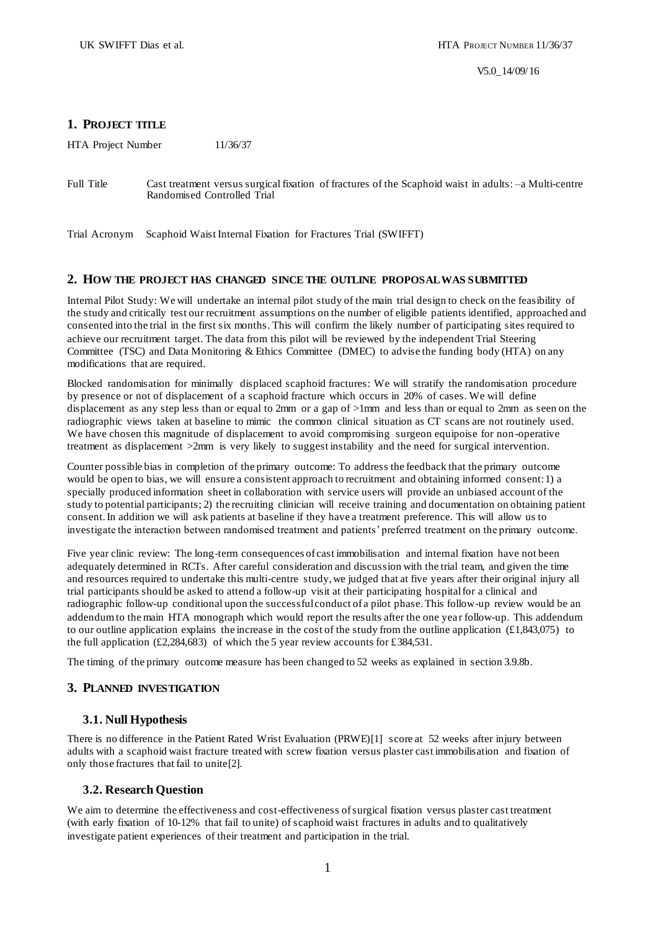V5.0\_14/09/16

# **1. PROJECT TITLE**

HTA Project Number 11/36/37

Full Title Cast treatment versus surgical fixation of fractures of the Scaphoid waist in adults: –a Multi-centre Randomised Controlled Trial

Trial Acronym Scaphoid Waist Internal Fixation for Fractures Trial (SWIFFT)

## **2. HOW THE PROJECT HAS CHANGED SINCE THE OUTLINE PROPOSAL WAS SUBMITTED**

Internal Pilot Study: We will undertake an internal pilot study of the main trial design to check on the feasibility of the study and critically test our recruitment assumptions on the number of eligible patients identified, approached and consented into the trial in the first six months. This will confirm the likely number of participating sites required to achieve our recruitment target. The data from this pilot will be reviewed by the independent Trial Steering Committee (TSC) and Data Monitoring & Ethics Committee (DMEC) to advise the funding body (HTA) on any modifications that are required.

Blocked randomisation for minimally displaced scaphoid fractures: We will stratify the randomisation procedure by presence or not of displacement of a scaphoid fracture which occurs in 20% of cases. We will define displacement as any step less than or equal to 2mm or a gap of >1mm and less than or equal to 2mm as seen on the radiographic views taken at baseline to mimic the common clinical situation as CT scans are not routinely used. We have chosen this magnitude of displacement to avoid compromising surgeon equipoise for non-operative treatment as displacement >2mm is very likely to suggest instability and the need for surgical intervention.

Counter possible bias in completion of the primary outcome: To address the feedback that the primary outcome would be open to bias, we will ensure a consistent approach to recruitment and obtaining informed consent: 1) a specially produced information sheet in collaboration with service users will provide an unbiased account of the study to potential participants; 2) the recruiting clinician will receive training and documentation on obtaining patient consent. In addition we will ask patients at baseline if they have a treatment preference. This will allow us to investigate the interaction between randomised treatment and patients' preferred treatment on the primary outcome.

Five year clinic review: The long-term consequences of cast immobilisation and internal fixation have not been adequately determined in RCTs. After careful consideration and discussion with the trial team, and given the time and resources required to undertake this multi-centre study, we judged that at five years after their original injury all trial participants should be asked to attend a follow-up visit at their participating hospital for a clinical and radiographic follow-up conditional upon the successful conduct of a pilot phase. This follow-up review would be an addendum to the main HTA monograph which would report the results after the one yea r follow-up. This addendum to our outline application explains the increase in the cost of the study from the outline application  $(\text{\textsterling}1,843,075)$  to the full application  $(\text{\textsterling}2,284,683)$  of which the 5 year review accounts for  $\text{\textsterling}384,531$ .

The timing of the primary outcome measure has been changed to 52 weeks as explained in section 3.9.8b.

# **3. PLANNED INVESTIGATION**

# **3.1. Null Hypothesis**

There is no difference in the Patient Rated Wrist Evaluation (PRWE)[\[1\]](#page-18-0) score at 52 weeks after injury between adults with a scaphoid waist fracture treated with screw fixation versus plaster cast immobilisation and fixation of only those fractures that fail to unite[\[2\]](#page-18-1).

## **3.2. Research Question**

We aim to determine the effectiveness and cost-effectiveness of surgical fixation versus plaster cast treatment (with early fixation of 10-12% that fail to unite) of scaphoid waist fractures in adults and to qualitatively investigate patient experiences of their treatment and participation in the trial.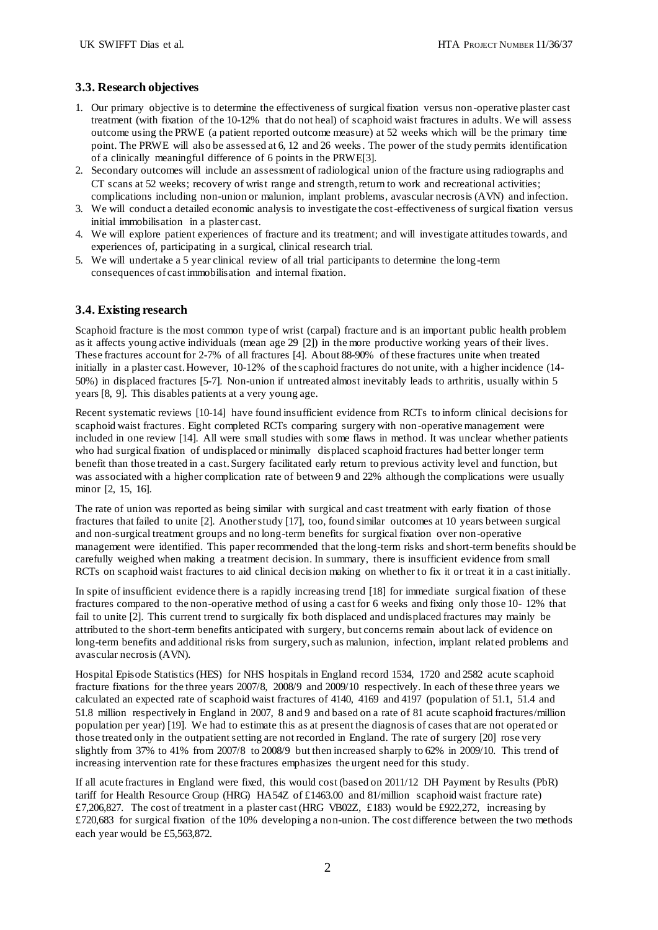# **3.3. Research objectives**

- 1. Our primary objective is to determine the effectiveness of surgical fixation versus non -operative plaster cast treatment (with fixation of the 10-12% that do not heal) of scaphoid waist fractures in adults. We will assess outcome using the PRWE (a patient reported outcome measure) at 52 weeks which will be the primary time point. The PRWE will also be assessed at 6, 12 and 26 weeks. The power of the study permits identification of a clinically meaningful difference of 6 points in the PRWE[\[3\].](#page-18-2)
- 2. Secondary outcomes will include an assessment of radiological union of the fracture using radiographs and CT scans at 52 weeks; recovery of wrist range and strength, return to work and recreational activities; complications including non-union or malunion, implant problems, avascular necrosis (AVN) and infection.
- 3. We will conduct a detailed economic analysis to investigate the cost-effectiveness of surgical fixation versus initial immobilisation in a plaster cast.
- 4. We will explore patient experiences of fracture and its treatment; and will investigate attitudes towards, and experiences of, participating in a surgical, clinical research trial.
- 5. We will undertake a 5 year clinical review of all trial participants to determine the long-term consequences of cast immobilisation and internal fixation.

# **3.4. Existing research**

Scaphoid fracture is the most common type of wrist (carpal) fracture and is an important public health problem as it affects young active individuals (mean age 29 [\[2\]](#page-18-1)) in the more productive working years of their lives. These fractures account for 2-7% of all fractures [\[4\]](#page-18-3). About 88-90% of these fractures unite when treated initially in a plaster cast. However, 10-12% of the scaphoid fractures do not unite, with a higher incidence (14- 50%) in displaced fractures [\[5-7\]](#page-18-4). Non-union if untreated almost inevitably leads to arthritis, usually within 5 years [\[8,](#page-18-5) [9\]](#page-18-6). This disables patients at a very young age.

Recent systematic reviews [\[10-14\]](#page-18-7) have found insufficient evidence from RCTs to inform clinical decisions for scaphoid waist fractures. Eight completed RCTs comparing surgery with non -operative management were included in one review [\[14\]](#page-18-8). All were small studies with some flaws in method. It was unclear whether patients who had surgical fixation of undisplaced or minimally displaced scaphoid fractures had better longer term benefit than those treated in a cast. Surgery facilitated early return to previous activity level and function, but was associated with a higher complication rate of between 9 and 22% although the complications were usually minor [\[2,](#page-18-1) [15,](#page-18-9) [16\]](#page-18-10).

The rate of union was reported as being similar with surgical and cast treatment with early fixation of those fractures that failed to unite [\[2\]](#page-18-1). Another study [\[17\]](#page-18-11), too, found similar outcomes at 10 years between surgical and non-surgical treatment groups and no long-term benefits for surgical fixation over non-operative management were identified. This paper recommended that the long-term risks and short-term benefits should be carefully weighed when making a treatment decision. In summary, there is insufficient evidence from small RCTs on scaphoid waist fractures to aid clinical decision making on whether to fix it or treat it in a cast initially.

In spite of insufficient evidence there is a rapidly increasing trend [\[18\]](#page-18-12) for immediate surgical fixation of these fractures compared to the non-operative method of using a cast for 6 weeks and fixing only those 10- 12% that fail to unite [\[2\]](#page-18-1). This current trend to surgically fix both displaced and undisplaced fractures may mainly be attributed to the short-term benefits anticipated with surgery, but concerns remain about lack of evidence on long-term benefits and additional risks from surgery, such as malunion, infection, implant related problems and avascular necrosis (AVN).

Hospital Episode Statistics (HES) for NHS hospitals in England record 1534, 1720 and 2582 acute scaphoid fracture fixations for the three years 2007/8, 2008/9 and 2009/10 respectively. In each of these three years we calculated an expected rate of scaphoid waist fractures of 4140, 4169 and 4197 (population of 51.1, 51.4 and 51.8 million respectively in England in 2007, 8 and 9 and based on a rate of 81 acute scaphoid fractures/million population per year) [\[19\].](#page-19-0) We had to estimate this as at present the diagnosis of cases that are not operat ed or those treated only in the outpatient setting are not recorded in England. The rate of surgery [\[20\]](#page-19-1) rose very slightly from 37% to 41% from 2007/8 to 2008/9 but then increased sharply to 62% in 2009/10. This trend of increasing intervention rate for these fractures emphasizes the urgent need for this study.

If all acute fractures in England were fixed, this would cost (based on 2011/12 DH Payment by Results (PbR) tariff for Health Resource Group (HRG) HA54Z of £1463.00 and 81/million scaphoid waist fracture rate) £7,206,827. The cost of treatment in a plaster cast (HRG VB02Z, £183) would be £922,272, increasing by £720,683 for surgical fixation of the 10% developing a non-union. The cost difference between the two methods each year would be £5,563,872.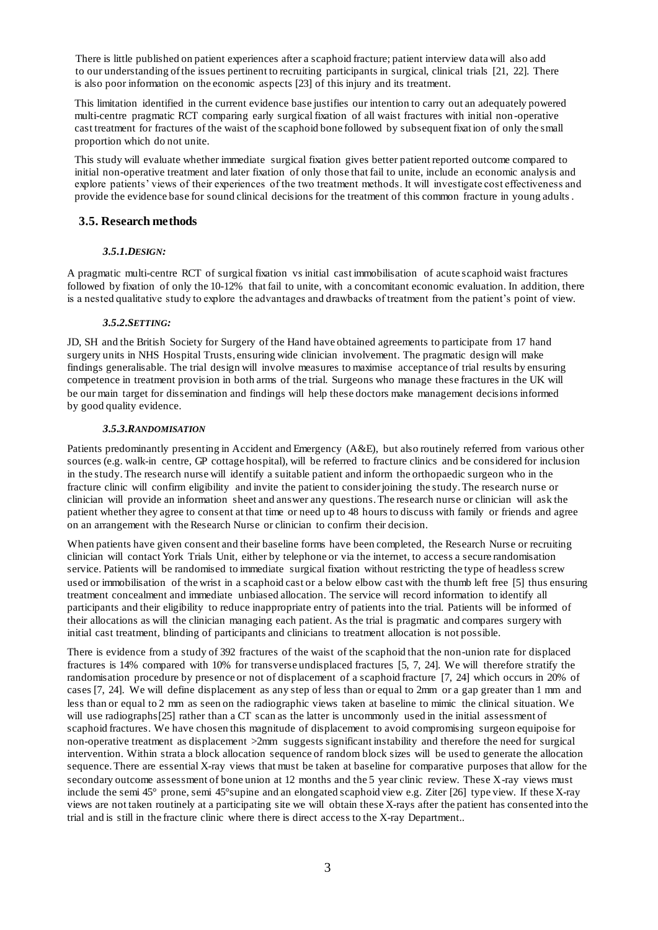There is little published on patient experiences after a scaphoid fracture; patient interview data will also add to our understanding of the issues pertinent to recruiting participants in surgical, clinical trials [\[21,](#page-19-2) [22\]](#page-19-3). There is also poor information on the economic aspects [\[23\]](#page-19-4) of this injury and its treatment.

This limitation identified in the current evidence base justifies our intention to carry out an adequately powered multi-centre pragmatic RCT comparing early surgical fixation of all waist fractures with initial non -operative cast treatment for fractures of the waist of the scaphoid bone followed by subsequent fixation of only the small proportion which do not unite.

This study will evaluate whether immediate surgical fixation gives better patient reported outcome compared to initial non-operative treatment and later fixation of only those that fail to unite, include an economic analysis and explore patients' views of their experiences of the two treatment methods. It will investigate cost effectiveness and provide the evidence base for sound clinical decisions for the treatment of this common fracture in young adults .

# **3.5. Research methods**

# *3.5.1.DESIGN:*

A pragmatic multi-centre RCT of surgical fixation vs initial cast immobilisation of acute scaphoid waist fractures followed by fixation of only the 10-12% that fail to unite, with a concomitant economic evaluation. In addition, there is a nested qualitative study to explore the advantages and drawbacks of treatment from the patient's point of view.

# *3.5.2.SETTING:*

JD, SH and the British Society for Surgery of the Hand have obtained agreements to participate from 17 hand surgery units in NHS Hospital Trusts, ensuring wide clinician involvement. The pragmatic design will make findings generalisable. The trial design will involve measures to maximise acceptance of trial results by ensuring competence in treatment provision in both arms of the trial. Surgeons who manage these fractures in the UK will be our main target for dissemination and findings will help these doctors make management decisions informed by good quality evidence.

## *3.5.3.RANDOMISATION*

Patients predominantly presenting in Accident and Emergency (A&E), but also routinely referred from various other sources (e.g. walk-in centre, GP cottage hospital), will be referred to fracture clinics and be considered for inclusion in the study.The research nurse will identify a suitable patient and inform the orthopaedic surgeon who in the fracture clinic will confirm eligibility and invite the patient to consider joining the study. The research nurse or clinician will provide an information sheet and answer any questions. The research nurse or clinician will ask the patient whether they agree to consent at that time or need up to 48 hours to discuss with family or friends and agree on an arrangement with the Research Nurse or clinician to confirm their decision.

When patients have given consent and their baseline forms have been completed, the Research Nurse or recruiting clinician will contact York Trials Unit, either by telephone or via the internet, to access a secure randomisation service. Patients will be randomised to immediate surgical fixation without restricting the type of headless screw used or immobilisation of the wrist in a scaphoid cast or a below elbow cast with the thumb left free [\[5\]](#page-18-4) thus ensuring treatment concealment and immediate unbiased allocation. The service will record information to identify all participants and their eligibility to reduce inappropriate entry of patients into the trial. Patients will be informed of their allocations as will the clinician managing each patient. As the trial is pragmatic and compares surgery with initial cast treatment, blinding of participants and clinicians to treatment allocation is not possible.

There is evidence from a study of 392 fractures of the waist of the scaphoid that the non-union rate for displaced fractures is 14% compared with 10% for transverse undisplaced fractures [\[5,](#page-18-4) [7,](#page-18-13) [24\]](#page-19-5). We will therefore stratify the randomisation procedure by presence or not of displacement of a scaphoid fracture [\[7,](#page-18-13) [24\]](#page-19-5) which occurs in 20% of cases [\[7,](#page-18-13) [24\].](#page-19-5) We will define displacement as any step of less than or equal to 2mm or a gap greater than 1 mm and less than or equal to 2 mm as seen on the radiographic views taken at baseline to mimic the clinical situation. We will use radiographs[\[25\]](#page-19-6) rather than a CT scan as the latter is uncommonly used in the initial assessment of scaphoid fractures. We have chosen this magnitude of displacement to avoid compromising surgeon equipoise for non-operative treatment as displacement >2mm suggests significant instability and therefore the need for surgical intervention. Within strata a block allocation sequence of random block sizes will be used to generate the allocation sequence.There are essential X-ray views that must be taken at baseline for comparative purposes that allow for the secondary outcome assessment of bone union at 12 months and the 5 year clinic review. These X-ray views must include the semi 45° prone, semi 45°supine and an elongated scaphoid view e.g. Ziter [\[26\]](#page-19-7) type view. If these X-ray views are not taken routinely at a participating site we will obtain these X-rays after the patient has consented into the trial and is still in the fracture clinic where there is direct access to the X-ray Department..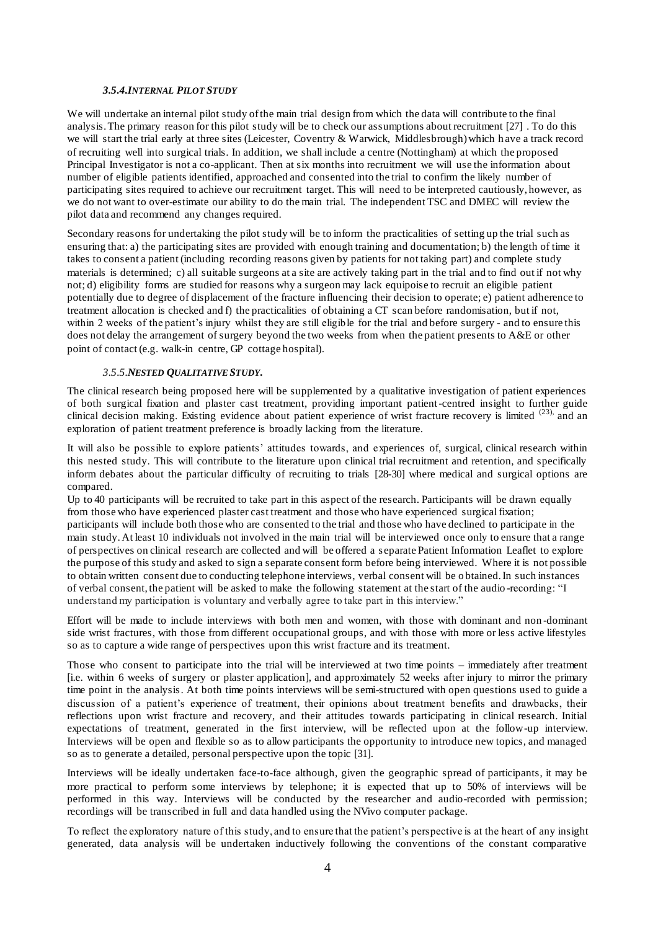## *3.5.4.INTERNAL PILOT STUDY*

We will undertake an internal pilot study of the main trial design from which the data will contribute to the final analysis. The primary reason for this pilot study will be to check our assumptions about recruitment [\[27\]](#page-19-8) . To do this we will start the trial early at three sites (Leicester, Coventry & Warwick, Middlesbrough) which h ave a track record of recruiting well into surgical trials. In addition, we shall include a centre (Nottingham) at which the proposed Principal Investigator is not a co-applicant. Then at six months into recruitment we will use the information about number of eligible patients identified, approached and consented into the trial to confirm the likely number of participating sites required to achieve our recruitment target. This will need to be interpreted cautiously, however, as we do not want to over-estimate our ability to do the main trial. The independent TSC and DMEC will review the pilot data and recommend any changes required.

Secondary reasons for undertaking the pilot study will be to inform the practicalities of setting up the trial such as ensuring that: a) the participating sites are provided with enough training and documentation; b) the length of time it takes to consent a patient (including recording reasons given by patients for not taking part) and complete study materials is determined; c) all suitable surgeons at a site are actively taking part in the trial and to find out if not why not; d) eligibility forms are studied for reasons why a surgeon may lack equipoise to recruit an eligible patient potentially due to degree of displacement of the fracture influencing their decision to operate; e) patient adherence to treatment allocation is checked and f) the practicalities of obtaining a CT scan before randomisation, but if not, within 2 weeks of the patient's injury whilst they are still eligible for the trial and before surgery - and to ensure this does not delay the arrangement of surgery beyond the two weeks from when the patient presents to A&E or other point of contact (e.g. walk-in centre, GP cottage hospital).

### *3.5.5.NESTED QUALITATIVE STUDY.*

The clinical research being proposed here will be supplemented by a qualitative investigation of patient experiences of both surgical fixation and plaster cast treatment, providing important patient-centred insight to further guide clinical decision making. Existing evidence about patient experience of wrist fracture recovery is limited <sup>(23)</sup>, and an exploration of patient treatment preference is broadly lacking from the literature.

It will also be possible to explore patients' attitudes towards, and experiences of, surgical, clinical research within this nested study. This will contribute to the literature upon clinical trial recruitment and retention, and specifically inform debates about the particular difficulty of recruiting to trials [\[28-30\]](#page-19-9) where medical and surgical options are compared.

Up to 40 participants will be recruited to take part in this aspect of the research. Participants will be drawn equally from those who have experienced plaster cast treatment and those who have experienced surgical fixation; participants will include both those who are consented to the trial and those who have declined to participate in the main study. At least 10 individuals not involved in the main trial will be interviewed once only to ensure that a range of perspectives on clinical research are collected and will be offered a s eparate Patient Information Leaflet to explore the purpose of this study and asked to sign a separate consent form before being interviewed. Where it is not possible to obtain written consent due to conducting telephone interviews, verbal consent will be o btained. In such instances of verbal consent, the patient will be asked to make the following statement at the start of the audio -recording: "I understand my participation is voluntary and verbally agree to take part in this interview."

Effort will be made to include interviews with both men and women, with those with dominant and non -dominant side wrist fractures, with those from different occupational groups, and with those with more or less active lifestyles so as to capture a wide range of perspectives upon this wrist fracture and its treatment.

Those who consent to participate into the trial will be interviewed at two time points – immediately after treatment [i.e. within 6 weeks of surgery or plaster application], and approximately 52 weeks after injury to mirror the primary time point in the analysis. At both time points interviews will be semi-structured with open questions used to guide a discussion of a patient's experience of treatment, their opinions about treatment benefits and drawbacks, their reflections upon wrist fracture and recovery, and their attitudes towards participating in clinical research. Initial expectations of treatment, generated in the first interview, will be reflected upon at the follow-up interview. Interviews will be open and flexible so as to allow participants the opportunity to introduce new topics, and managed so as to generate a detailed, personal perspective upon the topic [\[31\]](#page-19-10).

Interviews will be ideally undertaken face-to-face although, given the geographic spread of participants, it may be more practical to perform some interviews by telephone; it is expected that up to 50% of interviews will be performed in this way. Interviews will be conducted by the researcher and audio-recorded with permission; recordings will be transcribed in full and data handled using the NVivo computer package.

To reflect the exploratory nature of this study, and to ensure that the patient's perspective is at the heart of any insight generated, data analysis will be undertaken inductively following the conventions of the constant comparative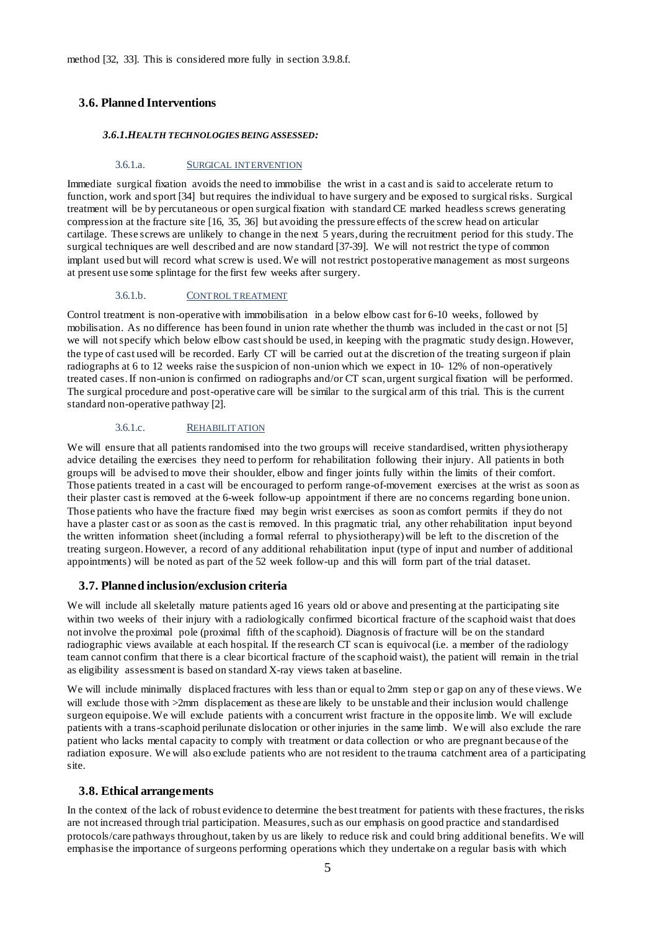method [\[32,](#page-19-11) [33\].](#page-19-12) This is considered more fully in section 3.9.8.f.

# **3.6. Planned Interventions**

#### *3.6.1.HEALTH TECHNOLOGIES BEING ASSESSED:*

#### 3.6.1.a. SURGICAL INTERVENTION

Immediate surgical fixation avoids the need to immobilise the wrist in a cast and is said to accelerate return to function, work and sport [\[34\]](#page-19-13) but requires the individual to have surgery and be exposed to surgical risks. Surgical treatment will be by percutaneous or open surgical fixation with standard CE marked headless screws generating compression at the fracture site [\[16,](#page-18-10) [35,](#page-19-14) [36\]](#page-19-15) but avoiding the pressure effects of the screw head on articular cartilage. These screws are unlikely to change in the next 5 years, during the recruitment period for this study. The surgical techniques are well described and are now standard [\[37-39\].](#page-19-16) We will not restrict the type of common implant used but will record what screw is used. We will not restrict postoperative management as most surgeons at present use some splintage for the first few weeks after surgery.

## 3.6.1.b. CONTROL TREATMENT

Control treatment is non-operative with immobilisation in a below elbow cast for 6-10 weeks, followed by mobilisation. As no difference has been found in union rate whether the thumb was included in the cast or not [\[5\]](#page-18-4) we will not specify which below elbow cast should be used, in keeping with the pragmatic study design. However, the type of cast used will be recorded. Early CT will be carried out at the discretion of the treating surgeon if plain radiographs at 6 to 12 weeks raise the suspicion of non-union which we expect in 10- 12% of non-operatively treated cases. If non-union is confirmed on radiographs and/or CT scan, urgent surgical fixation will be performed. The surgical procedure and post-operative care will be similar to the surgical arm of this trial. This is the current standard non-operative pathway [\[2\]](#page-18-1).

#### 3.6.1.c. REHABILITATION

We will ensure that all patients randomised into the two groups will receive standardised, written physiotherapy advice detailing the exercises they need to perform for rehabilitation following their injury. All patients in both groups will be advised to move their shoulder, elbow and finger joints fully within the limits of their comfort. Those patients treated in a cast will be encouraged to perform range-of-movement exercises at the wrist as soon as their plaster cast is removed at the 6-week follow-up appointment if there are no concerns regarding bone union. Those patients who have the fracture fixed may begin wrist exercises as soon as comfort permits if they do not have a plaster cast or as soon as the cast is removed. In this pragmatic trial, any other rehabilitation input beyond the written information sheet (including a formal referral to physiotherapy) will be left to the discretion of the treating surgeon. However, a record of any additional rehabilitation input (type of input and number of additional appointments) will be noted as part of the 52 week follow-up and this will form part of the trial dataset.

## **3.7. Planned inclusion/exclusion criteria**

We will include all skeletally mature patients aged 16 years old or above and presenting at the participating site within two weeks of their injury with a radiologically confirmed bicortical fracture of the scaphoid waist that does not involve the proximal pole (proximal fifth of the scaphoid). Diagnosis of fracture will be on the standard radiographic views available at each hospital. If the research CT scan is equivocal (i.e. a member of the radiology team cannot confirm that there is a clear bicortical fracture of the scaphoid waist), the patient will remain in the trial as eligibility assessment is based on standard X-ray views taken at baseline.

We will include minimally displaced fractures with less than or equal to 2mm step or gap on any of these views. We will exclude those with  $>2$ mm displacement as these are likely to be unstable and their inclusion would challenge surgeon equipoise. We will exclude patients with a concurrent wrist fracture in the opposite limb. We will exclude patients with a trans-scaphoid perilunate dislocation or other injuries in the same limb. We will also exclude the rare patient who lacks mental capacity to comply with treatment or data collection or who are pregnant because of the radiation exposure. We will also exclude patients who are not resident to the trauma catchment area of a participating site.

## **3.8. Ethical arrangements**

In the context of the lack of robust evidence to determine the best treatment for patients with these fractures, the risks are not increased through trial participation. Measures, such as our emphasis on good practice and standardised protocols/care pathways throughout, taken by us are likely to reduce risk and could bring additional benefits. We will emphasise the importance of surgeons performing operations which they undertake on a regular basis with which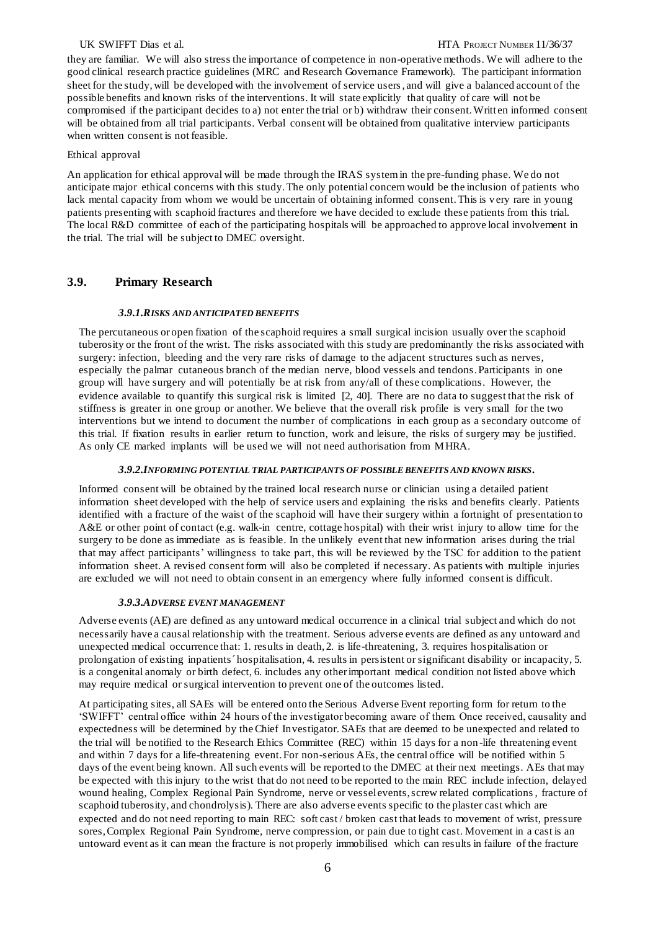#### UK SWIFFT Dias et al. **HTA PROJECT NUMBER 11/36/37**

they are familiar. We will also stress the importance of competence in non-operative methods. We will adhere to the good clinical research practice guidelines (MRC and Research Governance Framework). The participant information sheet for the study, will be developed with the involvement of service users, and will give a balanced account of the possible benefits and known risks of the interventions. It will state explicitly that quality of care will not be compromised if the participant decides to a) not enter the trial or b) withdraw their consent. Writt en informed consent will be obtained from all trial participants. Verbal consent will be obtained from qualitative interview participants when written consent is not feasible.

#### Ethical approval

An application for ethical approval will be made through the IRAS system in the pre-funding phase. We do not anticipate major ethical concerns with this study. The only potential concern would be the inclusion of patients who lack mental capacity from whom we would be uncertain of obtaining informed consent. This is very rare in young patients presenting with scaphoid fractures and therefore we have decided to exclude these patients from this trial. The local R&D committee of each of the participating hospitals will be approached to approve local involvement in the trial. The trial will be subject to DMEC oversight.

## **3.9. Primary Research**

#### *3.9.1.RISKS AND ANTICIPATED BENEFITS*

The percutaneous or open fixation of the scaphoid requires a small surgical incision usually over the scaphoid tuberosity or the front of the wrist. The risks associated with this study are predominantly the risks associated with surgery: infection, bleeding and the very rare risks of damage to the adjacent structures such as nerves, especially the palmar cutaneous branch of the median nerve, blood vessels and tendons. Participants in one group will have surgery and will potentially be at risk from any/all of these complications. However, the evidence available to quantify this surgical risk is limited [\[2,](#page-18-1) [40\].](#page-19-17) There are no data to suggest that the risk of stiffness is greater in one group or another. We believe that the overall risk profile is very small for the two interventions but we intend to document the number of complications in each group as a secondary outcome of this trial. If fixation results in earlier return to function, work and leisure, the risks of surgery may be justified. As only CE marked implants will be used we will not need authorisation from MHRA.

#### *3.9.2.INFORMING POTENTIAL TRIAL PARTICIPANTS OF POSSIBLE BENEFITS AND KNOWN RISKS.*

Informed consent will be obtained by the trained local research nurse or clinician using a detailed patient information sheet developed with the help of service users and explaining the risks and benefits clearly. Patients identified with a fracture of the waist of the scaphoid will have their surgery within a fortnight of presentation to A&E or other point of contact (e.g. walk-in centre, cottage hospital) with their wrist injury to allow time for the surgery to be done as immediate as is feasible. In the unlikely event that new information arises during the trial that may affect participants' willingness to take part, this will be reviewed by the TSC for addition to the patient information sheet. A revised consent form will also be completed if necessary. As patients with multiple injuries are excluded we will not need to obtain consent in an emergency where fully informed consent is difficult.

## *3.9.3.ADVERSE EVENT MANAGEMENT*

Adverse events (AE) are defined as any untoward medical occurrence in a clinical trial subject and which do not necessarily have a causal relationship with the treatment. Serious adverse events are defined as any untoward and unexpected medical occurrence that: 1. results in death, 2. is life-threatening, 3. requires hospitalisation or prolongation of existing inpatients´ hospitalisation, 4. results in persistent or significant disability or incapacity, 5. is a congenital anomaly or birth defect, 6. includes any other important medical condition not listed above which may require medical or surgical intervention to prevent one of the outcomes listed.

At participating sites, all SAEs will be entered onto the Serious Adverse Event reporting form for return to the 'SWIFFT' central office within 24 hours of the investigator becoming aware of them. Once received, causality and expectedness will be determined by the Chief Investigator. SAEs that are deemed to be unexpected and related to the trial will be notified to the Research Ethics Committee (REC) within 15 days for a non -life threatening event and within 7 days for a life-threatening event. For non-serious AEs, the central office will be notified within 5 days of the event being known. All such events will be reported to the DMEC at their next meetings. AEs that may be expected with this injury to the wrist that do not need to be reported to the main REC include infection, delayed wound healing, Complex Regional Pain Syndrome, nerve or vessel events, screw related complications, fracture of scaphoid tuberosity, and chondrolysis). There are also adverse events specific to the plaster cast which are expected and do not need reporting to main REC: soft cast / broken cast that leads to movement of wrist, pressure sores, Complex Regional Pain Syndrome, nerve compression, or pain due to tight cast. Movement in a cast is an untoward event as it can mean the fracture is not properly immobilised which can results in failure of the fracture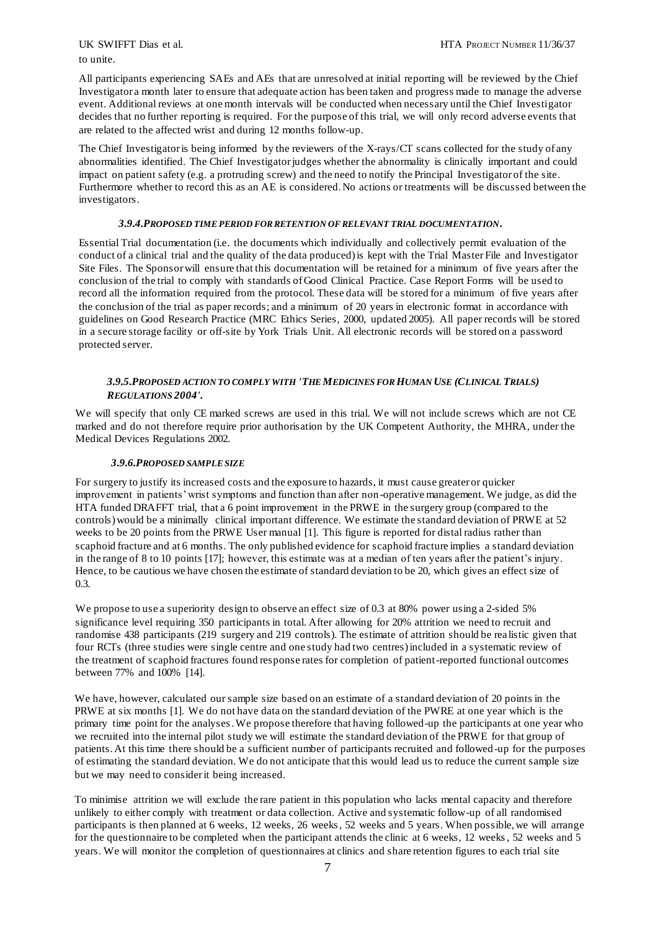to unite.

All participants experiencing SAEs and AEs that are unresolved at initial reporting will be reviewed by the Chief Investigator a month later to ensure that adequate action has been taken and progress made to manage the adverse event. Additional reviews at one month intervals will be conducted when necessary until the Chief Investigator decides that no further reporting is required. For the purpose of this trial, we will only record adverse events that are related to the affected wrist and during 12 months follow-up.

The Chief Investigator is being informed by the reviewers of the X-rays/CT scans collected for the study of any abnormalities identified. The Chief Investigator judges whether the abnormality is clinically important and could impact on patient safety (e.g. a protruding screw) and the need to notify the Principal Investigator of the site. Furthermore whether to record this as an AE is considered. No actions or treatments will be discussed between the investigators.

### *3.9.4.PROPOSED TIME PERIOD FOR RETENTION OF RELEVANT TRIAL DOCUMENTATION.*

Essential Trial documentation (i.e. the documents which individually and collectively permit evaluation of the conduct of a clinical trial and the quality of the data produced) is kept with the Trial Master File and Investigator Site Files. The Sponsor will ensure that this documentation will be retained for a minimum of five years after the conclusion of the trial to comply with standards of Good Clinical Practice. Case Report Forms will be used to record all the information required from the protocol. These data will be stored for a minimum of five years after the conclusion of the trial as paper records; and a minimum of 20 years in electronic format in accordance with guidelines on Good Research Practice (MRC Ethics Series, 2000, updated 2005). All paper records will be stored in a secure storage facility or off-site by York Trials Unit. All electronic records will be stored on a password protected server.

## *3.9.5.PROPOSED ACTION TO COMPLY WITH 'THE MEDICINES FOR HUMAN USE (CLINICAL TRIALS) REGULATIONS 2004'.*

We will specify that only CE marked screws are used in this trial. We will not include screws which are not CE marked and do not therefore require prior authorisation by the UK Competent Authority, the MHRA, under the Medical Devices Regulations 2002.

## *3.9.6.PROPOSED SAMPLE SIZE*

For surgery to justify its increased costs and the exposure to hazards, it must cause greater or quicker improvement in patients' wrist symptoms and function than after non-operative management. We judge, as did the HTA funded DRAFFT trial, that a 6 point improvement in the PRWE in the surgery group (compared to the controls) would be a minimally clinical important difference. We estimate the standard deviation of PRWE at 52 weeks to be 20 points from the PRWE User manual [\[1\]](#page-18-0). This figure is reported for distal radius rather than scaphoid fracture and at 6 months. The only published evidence for scaphoid fracture implies a standard deviation in the range of 8 to 10 points [\[17\]](#page-18-11); however, this estimate was at a median of ten years after the patient's injury. Hence, to be cautious we have chosen the estimate of standard deviation to be 20, which gives an effect size of 0.3.

We propose to use a superiority design to observe an effect size of 0.3 at 80% power using a 2-sided 5% significance level requiring 350 participants in total. After allowing for 20% attrition we need to recruit and randomise 438 participants (219 surgery and 219 controls). The estimate of attrition should be rea listic given that four RCTs (three studies were single centre and one study had two centres) included in a systematic review of the treatment of scaphoid fractures found response rates for completion of patient-reported functional outcomes between 77% and 100% [\[14\]](#page-18-8).

We have, however, calculated our sample size based on an estimate of a standard deviation of 20 points in the PRWE at six months [\[1\].](#page-18-0) We do not have data on the standard deviation of the PWRE at one year which is the primary time point for the analyses. We propose therefore that having followed-up the participants at one year who we recruited into the internal pilot study we will estimate the standard deviation of the PRWE for that group of patients. At this time there should be a sufficient number of participants recruited and followed-up for the purposes of estimating the standard deviation. We do not anticipate that this would lead us to reduce the current sample size but we may need to consider it being increased.

To minimise attrition we will exclude the rare patient in this population who lacks mental capacity and therefore unlikely to either comply with treatment or data collection. Active and systematic follow-up of all randomised participants is then planned at 6 weeks, 12 weeks, 26 weeks, 52 weeks and 5 years. When possible, we will arrange for the questionnaire to be completed when the participant attends the clinic at 6 weeks, 12 weeks, 52 weeks and 5 years. We will monitor the completion of questionnaires at clinics and share retention figures to each trial site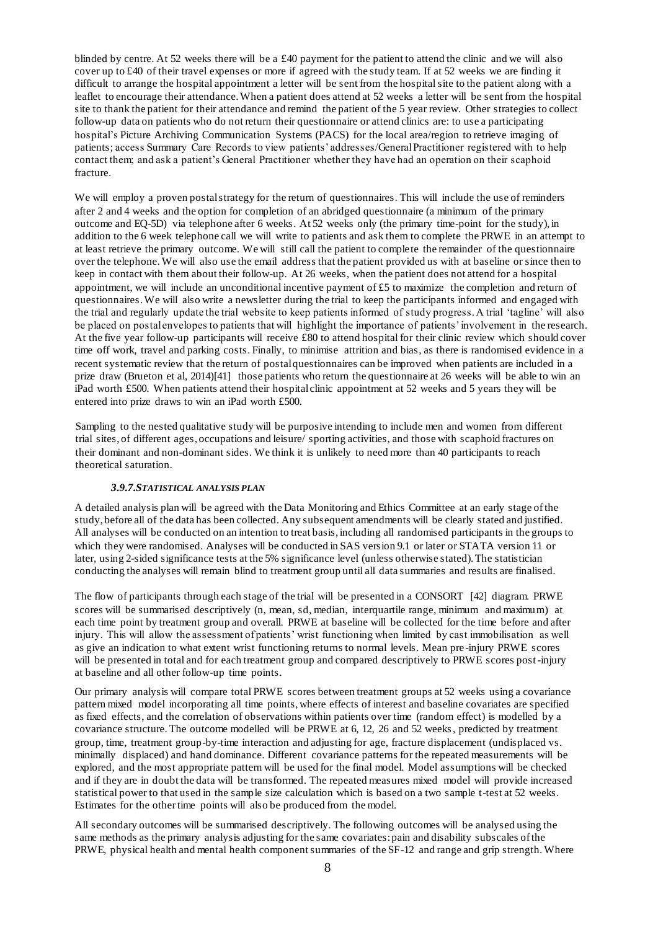blinded by centre. At 52 weeks there will be a £40 payment for the patient to attend the clinic and we will also cover up to  $\text{\pounds}40$  of their travel expenses or more if agreed with the study team. If at 52 weeks we are finding it difficult to arrange the hospital appointment a letter will be sent from the hospital site to the patient along with a leaflet to encourage their attendance. When a patient does attend at 52 weeks a letter will be sent from the hospital site to thank the patient for their attendance and remind the patient of the 5 year review. Other strategies to collect follow-up data on patients who do not return their questionnaire or attend clinics are: to use a participating hospital's Picture Archiving Communication Systems (PACS) for the local area/region to retrieve imaging of patients; access Summary Care Records to view patients' addresses/General Practitioner registered with to help contact them; and ask a patient's General Practitioner whether they have had an operation on their scaphoid fracture.

We will employ a proven postal strategy for the return of questionnaires. This will include the use of reminders after 2 and 4 weeks and the option for completion of an abridged questionnaire (a minimum of the primary outcome and EQ-5D) via telephone after 6 weeks. At 52 weeks only (the primary time-point for the study), in addition to the 6 week telephone call we will write to patients and ask them to complete the PRWE in an attempt to at least retrieve the primary outcome. We will still call the patient to complete the remainder of the questionnaire over the telephone. We will also use the email address that the patient provided us with at baseline or since then to keep in contact with them about their follow-up. At 26 weeks, when the patient does not attend for a hospital appointment, we will include an unconditional incentive payment of £5 to maximize the completion and return of questionnaires. We will also write a newsletter during the trial to keep the participants informed and engaged with the trial and regularly update the trial website to keep patients informed of study progress. A trial 'tagline' will also be placed on postal envelopes to patients that will highlight the importance of patients' involvement in the research. At the five year follow-up participants will receive £80 to attend hospital for their clinic review which should cover time off work, travel and parking costs. Finally, to minimise attrition and bias, as there is randomised evidence in a recent systematic review that the return of postal questionnaires can be improved when patients are included in a prize draw (Brueton et al, 2014)[[41\]](#page-20-0) those patients who return the questionnaire at 26 weeks will be able to win an iPad worth £500. When patients attend their hospital clinic appointment at 52 weeks and 5 years they will be entered into prize draws to win an iPad worth £500.

Sampling to the nested qualitative study will be purposive intending to include men and women from different trial sites, of different ages, occupations and leisure/ sporting activities, and those with scaphoid fractures on their dominant and non-dominant sides. We think it is unlikely to need more than 40 participants to reach theoretical saturation.

#### *3.9.7.STATISTICAL ANALYSIS PLAN*

A detailed analysis plan will be agreed with the Data Monitoring and Ethics Committee at an early stage of the study, before all of the data has been collected. Any subsequent amendments will be clearly stated and justified. All analyses will be conducted on an intention to treat basis, including all randomised participants in the groups to which they were randomised. Analyses will be conducted in SAS version 9.1 or later or STATA version 11 or later, using 2-sided significance tests at the 5% significance level (unless otherwise stated). The statistician conducting the analyses will remain blind to treatment group until all data summaries and results are finalised.

The flow of participants through each stage of the trial will be presented in a CONSORT [\[42\]](#page-20-1) diagram. PRWE scores will be summarised descriptively (n, mean, sd, median, interquartile range, minimum and maximum) at each time point by treatment group and overall. PRWE at baseline will be collected for the time before and after injury. This will allow the assessment of patients' wrist functioning when limited by cast immobilisation as well as give an indication to what extent wrist functioning returns to normal levels. Mean pre -injury PRWE scores will be presented in total and for each treatment group and compared descriptively to PRWE scores post-injury at baseline and all other follow-up time points.

Our primary analysis will compare total PRWE scores between treatment groups at 52 weeks using a covariance pattern mixed model incorporating all time points, where effects of interest and baseline covariates are specified as fixed effects, and the correlation of observations within patients over time (random effect) is modelled by a covariance structure. The outcome modelled will be PRWE at 6, 12, 26 and 52 weeks, predicted by treatment group, time, treatment group-by-time interaction and adjusting for age, fracture displacement (undisplaced vs. minimally displaced) and hand dominance. Different covariance patterns for the repeated measurements will be explored, and the most appropriate pattern will be used for the final model. Model assumptions will be checked and if they are in doubt the data will be transformed. The repeated measures mixed model will provide increased statistical power to that used in the sample size calculation which is based on a two sample t-test at 52 weeks. Estimates for the other time points will also be produced from the model.

All secondary outcomes will be summarised descriptively. The following outcomes will be analysed using the same methods as the primary analysis adjusting for the same covariates: pain and disability subscales of the PRWE, physical health and mental health component summaries of the SF-12 and range and grip strength. Where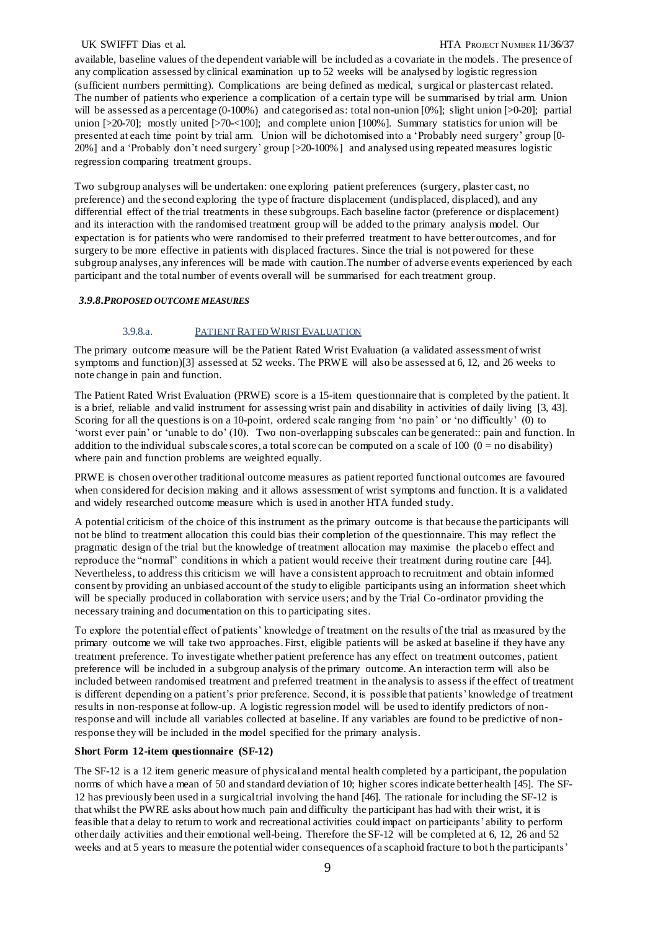#### UK SWIFFT Dias et al.  $\text{HTA ProlET NUMBER } 11/36/37$

available, baseline values of the dependent variable will be included as a covariate in the models. The presence of any complication assessed by clinical examination up to 52 weeks will be analysed by logistic regression (sufficient numbers permitting). Complications are being defined as medical, s urgical or plaster cast related. The number of patients who experience a complication of a certain type will be summarised by trial arm. Union will be assessed as a percentage (0-100%) and categorised as: total non-union [0%]; slight union [>0-20]; partial union [>20-70]; mostly united [>70-<100]; and complete union [100%]. Summary statistics for union will be presented at each time point by trial arm. Union will be dichotomised into a 'Probably need surgery' group [0- 20%] and a 'Probably don't need surgery' group [>20-100%] and analysed using repeated measures logistic regression comparing treatment groups.

Two subgroup analyses will be undertaken: one exploring patient preferences (surgery, plaster cast, no preference) and the second exploring the type of fracture displacement (undisplaced, displaced), and any differential effect of the trial treatments in these subgroups. Each baseline factor (preference or displacement) and its interaction with the randomised treatment group will be added to the primary analysis model. Our expectation is for patients who were randomised to their preferred treatment to have better outcomes, and for surgery to be more effective in patients with displaced fractures. Since the trial is not powered for these subgroup analyses, any inferences will be made with caution.The number of adverse events experienced by each participant and the total number of events overall will be summarised for each treatment group.

#### *3.9.8.PROPOSED OUTCOME MEASURES*

#### 3.9.8.a. PATIENT RATED WRIST EVALUATION

The primary outcome measure will be the Patient Rated Wrist Evaluation (a validated assessment of wrist symptoms and function)[\[3\]](#page-18-2) assessed at 52 weeks. The PRWE will also be assessed at 6, 12, and 26 weeks to note change in pain and function.

The Patient Rated Wrist Evaluation (PRWE) score is a 15-item questionnaire that is completed by the patient. It is a brief, reliable and valid instrument for assessing wrist pain and disability in activities of daily living [\[3,](#page-18-2) [43\]](#page-20-2). Scoring for all the questions is on a 10-point, ordered scale ranging from 'no pain' or 'no difficultly' (0) to 'worst ever pain' or 'unable to do' (10). Two non-overlapping subscales can be generated:: pain and function. In addition to the individual subscale scores, a total score can be computed on a scale of  $100 (0 =$  no disability) where pain and function problems are weighted equally.

PRWE is chosen over other traditional outcome measures as patient reported functional outcomes are favoured when considered for decision making and it allows assessment of wrist symptoms and function. It is a validated and widely researched outcome measure which is used in another HTA funded study.

A potential criticism of the choice of this instrument as the primary outcome is that because the participants will not be blind to treatment allocation this could bias their completion of the questionnaire. This may reflect the pragmatic design of the trial but the knowledge of treatment allocation may maximise the placeb o effect and reproduce the "normal" conditions in which a patient would receive their treatment during routine care [\[44\]](#page-20-3). Nevertheless, to address this criticism we will have a consistent approach to recruitment and obtain informed consent by providing an unbiased account of the study to eligible participants using an information sheet which will be specially produced in collaboration with service users; and by the Trial Co-ordinator providing the necessary training and documentation on this to participating sites.

To explore the potential effect of patients' knowledge of treatment on the results of the trial as measured by the primary outcome we will take two approaches. First, eligible patients will be asked at baseline if they have any treatment preference. To investigate whether patient preference has any effect on treatment outcomes, patient preference will be included in a subgroup analysis of the primary outcome. An interaction term will also be included between randomised treatment and preferred treatment in the analysis to assess if the effect of treatment is different depending on a patient's prior preference. Second, it is possible that patients' knowledge of treatment results in non-response at follow-up. A logistic regression model will be used to identify predictors of nonresponse and will include all variables collected at baseline. If any variables are found to be predictive of nonresponse they will be included in the model specified for the primary analysis.

#### **Short Form 12-item questionnaire (SF-12)**

The SF-12 is a 12 item generic measure of physical and mental health completed by a participant, the population norms of which have a mean of 50 and standard deviation of 10; higher scores indicate better health [\[45\]](#page-20-4). The SF-12 has previously been used in a surgical trial involving the hand [\[46\].](#page-20-5) The rationale for including the SF-12 is that whilst the PWRE asks about how much pain and difficulty the participant has had with their wrist, it is feasible that a delay to return to work and recreational activities could impact on participants' ability to perform other daily activities and their emotional well-being. Therefore the SF-12 will be completed at 6, 12, 26 and 52 weeks and at 5 years to measure the potential wider consequences of a scaphoid fracture to both the participants'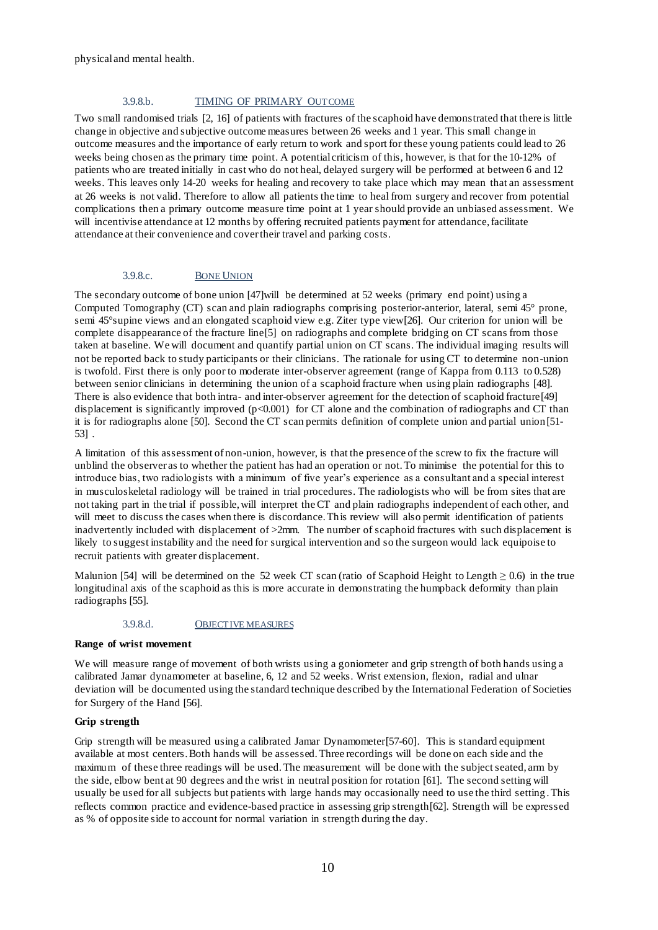## 3.9.8.b. TIMING OF PRIMARY OUTCOME

Two small randomised trials [\[2,](#page-18-1) [16\]](#page-18-10) of patients with fractures of the scaphoid have demonstrated that there is little change in objective and subjective outcome measures between 26 weeks and 1 year. This small change in outcome measures and the importance of early return to work and sport for these young patients could lead to 26 weeks being chosen as the primary time point. A potential criticism of this, however, is that for the 10-12% of patients who are treated initially in cast who do not heal, delayed surgery will be performed at between 6 and 12 weeks. This leaves only 14-20 weeks for healing and recovery to take place which may mean that an assessment at 26 weeks is not valid. Therefore to allow all patients the time to heal from surgery and recover from potential complications then a primary outcome measure time point at 1 year should provide an unbiased assessment. We will incentivise attendance at 12 months by offering recruited patients payment for attendance, facilitate attendance at their convenience and cover their travel and parking costs.

#### 3.9.8.c. BONE UNION

The secondary outcome of bone union [\[47\]w](#page-20-6)ill be determined at 52 weeks (primary end point) using a Computed Tomography (CT) scan and plain radiographs comprising posterior-anterior, lateral, semi 45° prone, semi 45°supine views and an elongated scaphoid view e.g. Ziter type view[\[26\].](#page-19-7) Our criterion for union will be complete disappearance of the fracture line<sup>[\[5\]](#page-18-4)</sup> on radiographs and complete bridging on CT scans from those taken at baseline. We will document and quantify partial union on CT scans. The individual imaging results will not be reported back to study participants or their clinicians. The rationale for using CT to determine non-union is twofold. First there is only poor to moderate inter-observer agreement (range of Kappa from 0.113 to 0.528) between senior clinicians in determining the union of a scaphoid fracture when using plain radiographs [\[48\].](#page-20-7) There is also evidence that both intra- and inter-observer agreement for the detection of scaphoid fracture[\[49\]](#page-20-8) displacement is significantly improved (p<0.001) for CT alone and the combination of radiographs and CT than it is for radiographs alone [\[50\].](#page-20-9) Second the CT scan permits definition of complete union and partial union[\[51-](#page-20-10) [53\]](#page-20-10) .

A limitation of this assessment of non-union, however, is that the presence of the screw to fix the fracture will unblind the observer as to whether the patient has had an operation or not. To minimise the potential for this to introduce bias, two radiologists with a minimum of five year's experience as a consultant and a special interest in musculoskeletal radiology will be trained in trial procedures. The radiologists who will be from sites that are not taking part in the trial if possible, will interpret the CT and plain radiographs independent of each other, and will meet to discuss the cases when there is discordance. This review will also permit identification of patients inadvertently included with displacement of >2mm. The number of scaphoid fractures with such displacement is likely to suggest instability and the need for surgical intervention and so the surgeon would lack equipoise to recruit patients with greater displacement.

Malunion [\[54\]](#page-20-11) will be determined on the 52 week CT scan (ratio of Scaphoid Height to Length  $\geq 0.6$ ) in the true longitudinal axis of the scaphoid as this is more accurate in demonstrating the humpback deformity than plain radiographs [\[55\].](#page-20-12)

#### 3.9.8.d. OBJECTIVE MEASURES

#### **Range of wrist movement**

We will measure range of movement of both wrists using a goniometer and grip strength of both hands using a calibrated Jamar dynamometer at baseline, 6, 12 and 52 weeks. Wrist extension, flexion, radial and ulnar deviation will be documented using the standard technique described by the International Federation of Societies for Surgery of the Hand [\[56\].](#page-20-13)

#### **Grip strength**

Grip strength will be measured using a calibrated Jamar Dynamometer[\[57-60\].](#page-20-14) This is standard equipment available at most centers. Both hands will be assessed. Three recordings will be done on each side and the maximum of these three readings will be used. The measurement will be done with the subject seated, arm by the side, elbow bent at 90 degrees and the wrist in neutral position for rotation [\[61\]](#page-20-15). The second setting will usually be used for all subjects but patients with large hands may occasionally need to use the third setting . This reflects common practice and evidence-based practice in assessing grip strength[\[62\]](#page-20-16). Strength will be expressed as % of opposite side to account for normal variation in strength during the day.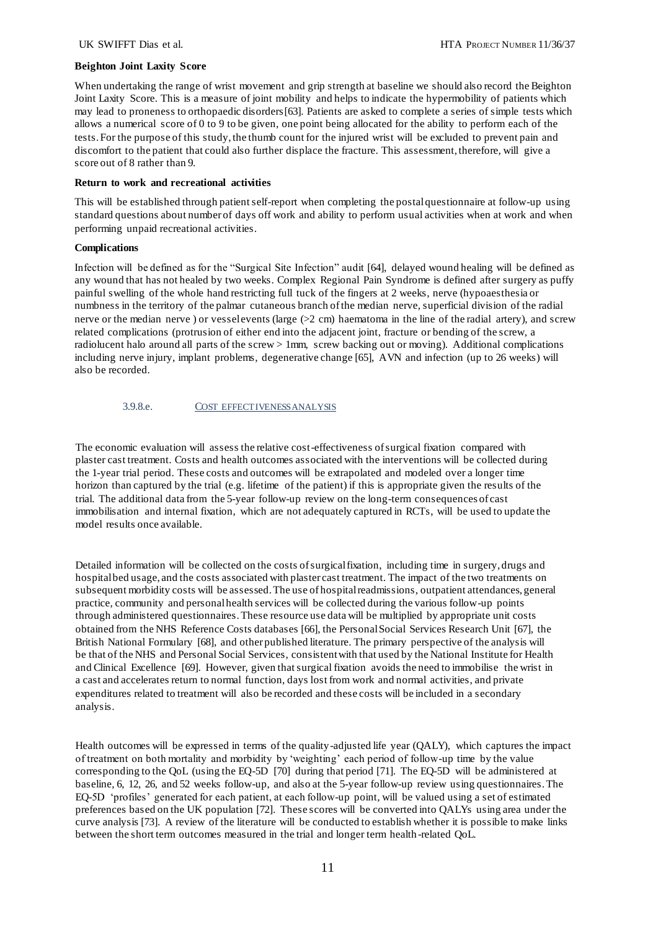#### **Beighton Joint Laxity Score**

When undertaking the range of wrist movement and grip strength at baseline we should also record the Beighton Joint Laxity Score. This is a measure of joint mobility and helps to indicate the hypermobility of patients which may lead to proneness to orthopaedic disorders[\[63\]](#page-21-0). Patients are asked to complete a series of simple tests which allows a numerical score of 0 to 9 to be given, one point being allocated for the ability to perform each of the tests. For the purpose of this study, the thumb count for the injured wrist will be excluded to prevent pain and discomfort to the patient that could also further displace the fracture. This assessment, therefore, will give a score out of 8 rather than 9.

#### **Return to work and recreational activities**

This will be established through patient self-report when completing the postal questionnaire at follow-up using standard questions about number of days off work and ability to perform usual activities when at work and when performing unpaid recreational activities.

### **Complications**

Infection will be defined as for the "Surgical Site Infection" audit [\[64\],](#page-21-1) delayed wound healing will be defined as any wound that has not healed by two weeks. Complex Regional Pain Syndrome is defined after surgery as puffy painful swelling of the whole hand restricting full tuck of the fingers at 2 weeks, nerve (hypoaesthesia or numbness in the territory of the palmar cutaneous branch of the median nerve, superficial division of the radial nerve or the median nerve ) or vessel events (large  $(2 \text{ cm})$  haematoma in the line of the radial artery), and screw related complications (protrusion of either end into the adjacent joint, fracture or bending of the screw, a radiolucent halo around all parts of the screw > 1mm, screw backing out or moving). Additional complications including nerve injury, implant problems, degenerative change [\[65\],](#page-21-2) AVN and infection (up to 26 weeks) will also be recorded.

3.9.8.e. COST EFFECTIVENESS ANALYSIS

The economic evaluation will assess the relative cost-effectiveness of surgical fixation compared with plaster cast treatment. Costs and health outcomes associated with the interventions will be collected during the 1-year trial period. These costs and outcomes will be extrapolated and modeled over a longer time horizon than captured by the trial (e.g. lifetime of the patient) if this is appropriate given the results of the trial. The additional data from the 5-year follow-up review on the long-term consequences of cast immobilisation and internal fixation, which are not adequately captured in RCTs, will be used to update the model results once available.

Detailed information will be collected on the costs of surgical fixation, including time in surgery, drugs and hospital bed usage, and the costs associated with plaster cast treatment. The impact of the two treatments on subsequent morbidity costs will be assessed. The use of hospital readmissions, outpatient attendances, general practice, community and personal health services will be collected during the various follow-up points through administered questionnaires. These resource use data will be multiplied by appropriate unit costs obtained from the NHS Reference Costs databases [\[66\]](#page-21-3), the Personal Social Services Research Unit [\[67\]](#page-21-4), the British National Formulary [\[68\]](#page-21-5), and other published literature. The primary perspective of the analysis will be that of the NHS and Personal Social Services, consistent with that used by the National Institute for Health and Clinical Excellence [\[69\].](#page-21-6) However, given that surgical fixation avoids the need to immobilise the wrist in a cast and accelerates return to normal function, days lost from work and normal activities, and private expenditures related to treatment will also be recorded and these costs will be included in a secondary analysis.

Health outcomes will be expressed in terms of the quality-adjusted life year (QALY), which captures the impact of treatment on both mortality and morbidity by 'weighting' each period of follow-up time by the value corresponding to the QoL (using the EQ-5D [\[70\]](#page-21-7) during that period [\[71\].](#page-21-8) The EQ-5D will be administered at baseline, 6, 12, 26, and 52 weeks follow-up, and also at the 5-year follow-up review using questionnaires. The EQ-5D 'profiles' generated for each patient, at each follow-up point, will be valued using a set of estimated preferences based on the UK population [\[72\]](#page-21-9). These scores will be converted into QALYs using area under the curve analysis [\[73\].](#page-21-10) A review of the literature will be conducted to establish whether it is possible to make links between the short term outcomes measured in the trial and longer term health-related QoL.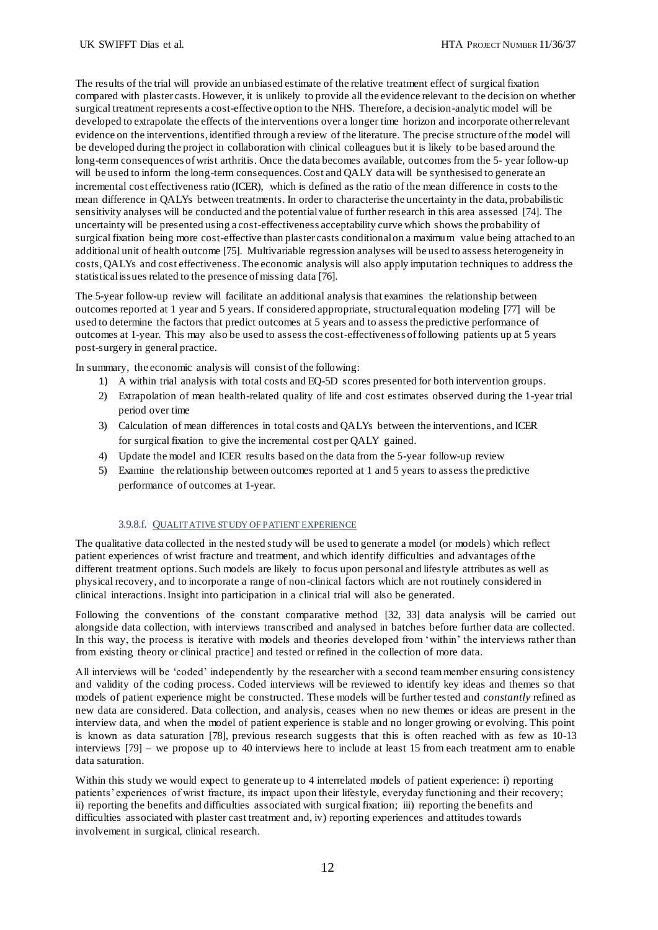The results of the trial will provide an unbiased estimate of the relative treatment effect of surgical fixation compared with plaster casts. However, it is unlikely to provide all the evidence relevant to the decision on whether surgical treatment represents a cost-effective option to the NHS. Therefore, a decision-analytic model will be developed to extrapolate the effects of the interventions over a longer time horizon and incorporate other relevant evidence on the interventions, identified through a review of the literature. The precise structure of the model will be developed during the project in collaboration with clinical colleagues but it is likely to be based around the long-term consequences of wrist arthritis. Once the data becomes available, outcomes from the 5- year follow-up will be used to inform the long-term consequences. Cost and QALY data will be synthesised to generate an incremental cost effectiveness ratio (ICER), which is defined as the ratio of the mean difference in costs to the mean difference in QALYs between treatments. In order to characterise the uncertainty in the data, probabilistic sensitivity analyses will be conducted and the potential value of further research in this area assessed [\[74\]](#page-21-11). The uncertainty will be presented using a cost-effectiveness acceptability curve which shows the probability of surgical fixation being more cost-effective than plaster casts conditional on a maximum value being attached to an additional unit of health outcome [\[75\]](#page-21-12). Multivariable regression analyses will be used to assess heterogeneity in costs, QALYs and cost effectiveness. The economic analysis will also apply imputation techniques to address the statistical issues related to the presence of missing data [\[76\]](#page-21-13).

The 5-year follow-up review will facilitate an additional analysis that examines the relationship between outcomes reported at 1 year and 5 years. If considered appropriate, structural equation modeling [\[77\]](#page-21-14) will be used to determine the factors that predict outcomes at 5 years and to assess the predictive performance of outcomes at 1-year. This may also be used to assess the cost-effectiveness of following patients up at 5 years post-surgery in general practice.

In summary, the economic analysis will consist of the following:

- 1) A within trial analysis with total costs and EQ-5D scores presented for both intervention groups.
- 2) Extrapolation of mean health-related quality of life and cost estimates observed during the 1-year trial period over time
- 3) Calculation of mean differences in total costs and QALYs between the interventions, and ICER for surgical fixation to give the incremental cost per QALY gained.
- 4) Update the model and ICER results based on the data from the 5-year follow-up review
- 5) Examine the relationship between outcomes reported at 1 and 5 years to assess the predictive performance of outcomes at 1-year.

#### 3.9.8.f. QUALITATIVE STUDY OF PATIENT EXPERIENCE

The qualitative data collected in the nested study will be used to generate a model (or models) which reflect patient experiences of wrist fracture and treatment, and which identify difficulties and advantages of the different treatment options. Such models are likely to focus upon personal and lifestyle attributes as well as physical recovery, and to incorporate a range of non-clinical factors which are not routinely considered in clinical interactions.Insight into participation in a clinical trial will also be generated.

Following the conventions of the constant comparative method [\[32](#page-19-11)[, 33](#page-19-12)] data analysis will be carried out alongside data collection, with interviews transcribed and analysed in batches before further data are collected. In this way, the process is iterative with models and theories developed from 'within' the interviews rather than from existing theory or clinical practice] and tested or refined in the collection of more data.

All interviews will be 'coded' independently by the researcher with a second team member ensuring consistency and validity of the coding process. Coded interviews will be reviewed to identify key ideas and themes so that models of patient experience might be constructed. These models will be further tested and *constantly* refined as new data are considered. Data collection, and analysis, ceases when no new themes or ideas are present in the interview data, and when the model of patient experience is stable and no longer growing or evolving. This point is known as data saturation [\[78\]](#page-21-15), previous research suggests that this is often reached with as few as 10-13 interviews [\[79\]](#page-21-16) – we propose up to 40 interviews here to include at least 15 from each treatment arm to enable data saturation.

Within this study we would expect to generate up to 4 interrelated models of patient experience: i) reporting patients' experiences of wrist fracture, its impact upon their lifestyle, everyday functioning and their recovery; ii) reporting the benefits and difficulties associated with surgical fixation; iii) reporting the benefits and difficulties associated with plaster cast treatment and, iv) reporting experiences and attitudes towards involvement in surgical, clinical research.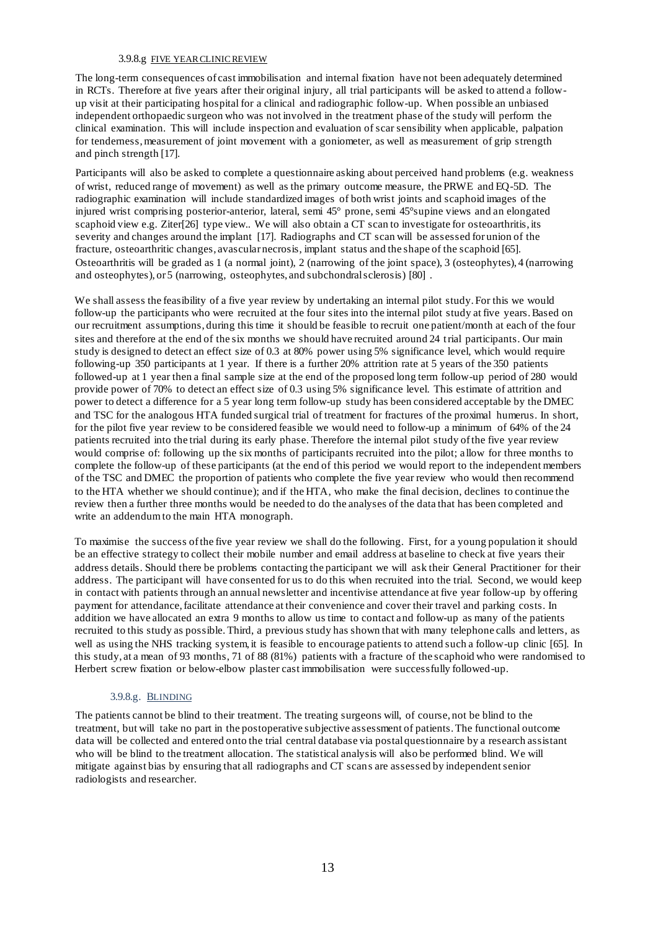## 3.9.8.g FIVE YEAR CLINIC REVIEW

The long-term consequences of cast immobilisation and internal fixation have not been adequately determined in RCTs. Therefore at five years after their original injury, all trial participants will be asked to attend a followup visit at their participating hospital for a clinical and radiographic follow-up. When possible an unbiased independent orthopaedic surgeon who was not involved in the treatment phase of the study will perform the clinical examination. This will include inspection and evaluation of scar sensibility when applicable, palpation for tenderness, measurement of joint movement with a goniometer, as well as measurement of grip strength and pinch strength [\[17\]](#page-18-11).

Participants will also be asked to complete a questionnaire asking about perceived hand problems (e.g. weakness of wrist, reduced range of movement) as well as the primary outcome measure, the PRWE and EQ-5D. The radiographic examination will include standardized images of both wrist joints and scaphoid images of the injured wrist comprising posterior-anterior, lateral, semi 45° prone, semi 45°supine views and an elongated scaphoid view e.g. Ziter[\[26\]](#page-19-7) type view.. We will also obtain a CT scan to investigate for osteoarthritis, its severity and changes around the implant [\[17\]](#page-18-11). Radiographs and CT scan will be assessed for union of the fracture, osteoarthritic changes, avascular necrosis, implant status and the shape of the scaphoid [\[65\]](#page-21-2). Osteoarthritis will be graded as 1 (a normal joint), 2 (narrowing of the joint space), 3 (osteophytes), 4 (narrowing and osteophytes), or  $5$  (narrowing, osteophytes, and subchondral sclerosis) [\[80\]](#page-21-17).

We shall assess the feasibility of a five year review by undertaking an internal pilot study. For this we would follow-up the participants who were recruited at the four sites into the internal pilot study at five years. Based on our recruitment assumptions, during this time it should be feasible to recruit one patient/month at each of the four sites and therefore at the end of the six months we should have recruited around 24 trial participants. Our main study is designed to detect an effect size of 0.3 at 80% power using 5% significance level, which would require following-up 350 participants at 1 year. If there is a further 20% attrition rate at 5 years of the 350 patients followed-up at 1 year then a final sample size at the end of the proposed long term follow-up period of 280 would provide power of 70% to detect an effect size of 0.3 using 5% significance level. This estimate of attrition and power to detect a difference for a 5 year long term follow-up study has been considered acceptable by the DMEC and TSC for the analogous HTA funded surgical trial of treatment for fractures of the proximal humerus. In short, for the pilot five year review to be considered feasible we would need to follow-up a minimum of 64% of the 24 patients recruited into the trial during its early phase. Therefore the internal pilot study of the five year review would comprise of: following up the six months of participants recruited into the pilot; a llow for three months to complete the follow-up of these participants (at the end of this period we would report to the independent members of the TSC and DMEC the proportion of patients who complete the five year review who would then recommend to the HTA whether we should continue); and if the HTA, who make the final decision, declines to continue the review then a further three months would be needed to do the analyses of the data that has been completed and write an addendum to the main HTA monograph.

To maximise the success of the five year review we shall do the following. First, for a young population it should be an effective strategy to collect their mobile number and email address at baseline to check at five years their address details. Should there be problems contacting the participant we will ask their General Practitioner for their address. The participant will have consented for us to do this when recruited into the trial. Second, we would keep in contact with patients through an annual newsletter and incentivise attendance at five year follow-up by offering payment for attendance, facilitate attendance at their convenience and cover their travel and parking costs. In addition we have allocated an extra 9 months to allow us time to contact and follow-up as many of the patients recruited to this study as possible. Third, a previous study has shown that with many telephone calls and letters, as well as using the NHS tracking system, it is feasible to encourage patients to attend such a follow-up clinic [\[65\].](#page-21-2) In this study, at a mean of 93 months, 71 of 88 (81%) patients with a fracture of the scaphoid who were randomised to Herbert screw fixation or below-elbow plaster cast immobilisation were successfully followed-up.

# 3.9.8.g. BLINDING

The patients cannot be blind to their treatment. The treating surgeons will, of course, not be blind to the treatment, but will take no part in the postoperative subjective assessment of patients. The functional outcome data will be collected and entered onto the trial central database via postal questionnaire by a research assistant who will be blind to the treatment allocation. The statistical analysis will also be performed blind. We will mitigate against bias by ensuring that all radiographs and CT scans are assessed by independent senior radiologists and researcher.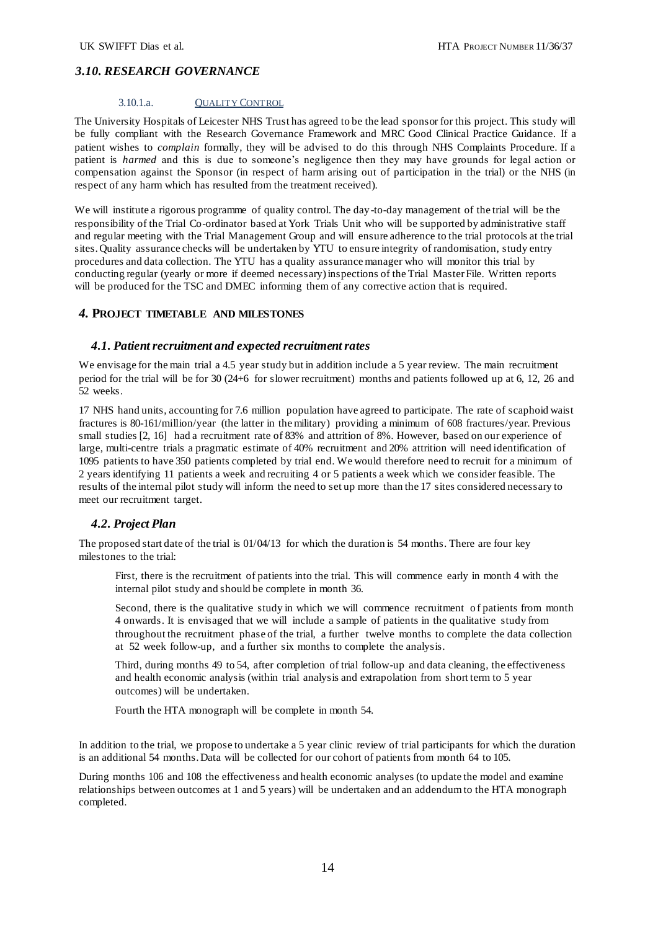# *3.10. RESEARCH GOVERNANCE*

## 3.10.1.a. QUALITY CONTROL

The University Hospitals of Leicester NHS Trust has agreed to be the lead sponsor for this project. This study will be fully compliant with the Research Governance Framework and MRC Good Clinical Practice Guidance. If a patient wishes to *complain* formally, they will be advised to do this through NHS Complaints Procedure. If a patient is *harmed* and this is due to someone's negligence then they may have grounds for legal action or compensation against the Sponsor (in respect of harm arising out of participation in the trial) or the NHS (in respect of any harm which has resulted from the treatment received).

We will institute a rigorous programme of quality control. The day-to-day management of the trial will be the responsibility of the Trial Co-ordinator based at York Trials Unit who will be supported by administrative staff and regular meeting with the Trial Management Group and will ensure adherence to the trial protocols at the trial sites. Quality assurance checks will be undertaken by YTU to ensure integrity of randomisation, study entry procedures and data collection. The YTU has a quality assurance manager who will monitor this trial by conducting regular (yearly or more if deemed necessary) inspections of the Trial Master File. Written reports will be produced for the TSC and DMEC informing them of any corrective action that is required.

## *4.* **PROJECT TIMETABLE AND MILESTONES**

## *4.1. Patient recruitment and expected recruitment rates*

We envisage for the main trial a 4.5 year study but in addition include a 5 year review. The main recruitment period for the trial will be for 30 (24+6 for slower recruitment) months and patients followed up at 6, 12, 26 and 52 weeks.

17 NHS hand units, accounting for 7.6 million population have agreed to participate. The rate of scaphoid waist fractures is 80-161/million/year (the latter in the military) providing a minimum of 608 fractures/year. Previous small studies [\[2,](#page-18-1) [16\]](#page-18-10) had a recruitment rate of 83% and attrition of 8%. However, based on our experience of large, multi-centre trials a pragmatic estimate of 40% recruitment and 20% attrition will need identification of 1095 patients to have 350 patients completed by trial end. We would therefore need to recruit for a minimum of 2 years identifying 11 patients a week and recruiting 4 or 5 patients a week which we consider feasible. The results of the internal pilot study will inform the need to set up more than the 17 sites considered necessary to meet our recruitment target.

# *4.2. Project Plan*

The proposed start date of the trial is 01/04/13 for which the duration is 54 months. There are four key milestones to the trial:

First, there is the recruitment of patients into the trial. This will commence early in month 4 with the internal pilot study and should be complete in month 36.

Second, there is the qualitative study in which we will commence recruitment of patients from month 4 onwards. It is envisaged that we will include a sample of patients in the qualitative study from throughout the recruitment phase of the trial, a further twelve months to complete the data collection at 52 week follow-up, and a further six months to complete the analysis.

Third, during months 49 to 54, after completion of trial follow-up and data cleaning, the effectiveness and health economic analysis (within trial analysis and extrapolation from short term to 5 year outcomes) will be undertaken.

Fourth the HTA monograph will be complete in month 54.

In addition to the trial, we propose to undertake a 5 year clinic review of trial participants for which the duration is an additional 54 months. Data will be collected for our cohort of patients from month 64 to 105.

During months 106 and 108 the effectiveness and health economic analyses (to update the model and examine relationships between outcomes at 1 and 5 years) will be undertaken and an addendum to the HTA monograph completed.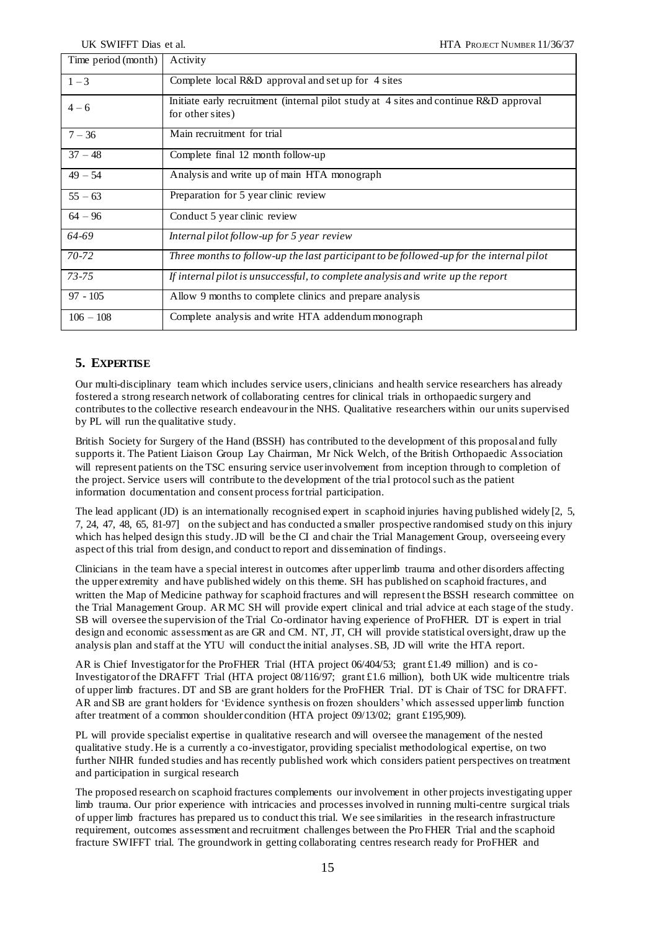| Time period (month) | Activity                                                                                                  |
|---------------------|-----------------------------------------------------------------------------------------------------------|
| $1 - 3$             | Complete local R&D approval and set up for 4 sites                                                        |
| $4 - 6$             | Initiate early recruitment (internal pilot study at 4 sites and continue R&D approval<br>for other sites) |
| $7 - 36$            | Main recruitment for trial                                                                                |
| $37 - 48$           | Complete final 12 month follow-up                                                                         |
| $49 - 54$           | Analysis and write up of main HTA monograph                                                               |
| $55 - 63$           | Preparation for 5 year clinic review                                                                      |
| $64 - 96$           | Conduct 5 year clinic review                                                                              |
| 64-69               | Internal pilot follow-up for 5 year review                                                                |
| 70-72               | Three months to follow-up the last participant to be followed-up for the internal pilot                   |
| $73 - 75$           | If internal pilot is unsuccessful, to complete analysis and write up the report                           |
| $97 - 105$          | Allow 9 months to complete clinics and prepare analysis                                                   |
| $106 - 108$         | Complete analysis and write HTA addendum monograph                                                        |

# **5. EXPERTISE**

Our multi-disciplinary team which includes service users, clinicians and health service researchers has already fostered a strong research network of collaborating centres for clinical trials in orthopaedic surgery and contributes to the collective research endeavour in the NHS. Qualitative researchers within our units supervised by PL will run the qualitative study.

British Society for Surgery of the Hand (BSSH) has contributed to the development of this proposal and fully supports it. The Patient Liaison Group Lay Chairman, Mr Nick Welch, of the British Orthopaedic Association will represent patients on the TSC ensuring service user involvement from inception through to completion of the project. Service users will contribute to the development of the trial protocol such as the patient information documentation and consent process for trial participation.

The lead applicant (JD) is an internationally recognised expert in scaphoid injuries having published widely [\[2,](#page-18-1) [5,](#page-18-4) [7,](#page-18-13) [24,](#page-19-5) [47,](#page-20-6) [48,](#page-20-7) [65,](#page-21-2) [81-97\]](#page-21-18) on the subject and has conducted a smaller prospective randomised study on this injury which has helped design this study. JD will be the CI and chair the Trial Management Group, overseeing every aspect of this trial from design, and conduct to report and dissemination of findings.

Clinicians in the team have a special interest in outcomes after upper limb trauma and other disorders affecting the upper extremity and have published widely on this theme. SH has published on scaphoid fractures, and written the Map of Medicine pathway for scaphoid fractures and will represent the BSSH research committee on the Trial Management Group. AR MC SH will provide expert clinical and trial advice at each stage of the study. SB will oversee the supervision of the Trial Co-ordinator having experience of ProFHER. DT is expert in trial design and economic assessment as are GR and CM. NT, JT, CH will provide statistical oversight, draw up the analysis plan and staff at the YTU will conduct the initial analyses. SB, JD will write the HTA report.

AR is Chief Investigator for the ProFHER Trial (HTA project 06/404/53; grant £1.49 million) and is co-Investigator of the DRAFFT Trial (HTA project 08/116/97; grant £1.6 million), both UK wide multicentre trials of upper limb fractures. DT and SB are grant holders for the ProFHER Trial. DT is Chair of TSC fo[r DRAFFT.](http://drafft.ar/)  [AR](http://drafft.ar/) and SB are grant holders for 'Evidence synthesis on frozen shoulders' which assessed upper limb function after treatment of a common shoulder condition (HTA project 09/13/02; grant £195,909).

PL will provide specialist expertise in qualitative research and will oversee the management of the nested qualitative study. He is a currently a co-investigator, providing specialist methodological expertise, on two further NIHR funded studies and has recently published work which considers patient perspectives on treatment and participation in surgical research

The proposed research on scaphoid fractures complements our involvement in other projects investigating upper limb trauma. Our prior experience with intricacies and processes involved in running multi-centre surgical trials of upper limb fractures has prepared us to conduct this trial. We see similarities in the research infrastructure requirement, outcomes assessment and recruitment challenges between the ProFHER Trial and the scaphoid fracture SWIFFT trial. The groundwork in getting collaborating centres research ready for ProFHER and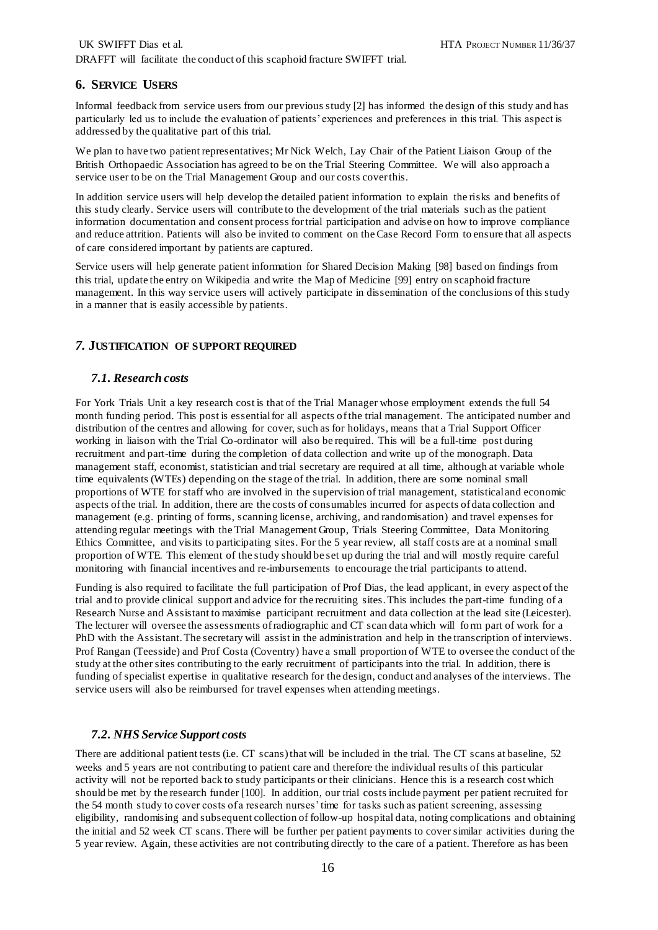# **6. SERVICE USERS**

Informal feedback from service users from our previous study [\[2\]](#page-18-1) has informed the design of this study and has particularly led us to include the evaluation of patients' experiences and preferences in this trial. This aspect is addressed by the qualitative part of this trial.

We plan to have two patient representatives; Mr Nick Welch, Lay Chair of the Patient Liaison Group of the British Orthopaedic Association has agreed to be on the Trial Steering Committee. We will also approach a service user to be on the Trial Management Group and our costs cover this.

In addition service users will help develop the detailed patient information to explain the risks and benefits of this study clearly. Service users will contribute to the development of the trial materials such as the patient information documentation and consent process for trial participation and advise on how to improve compliance and reduce attrition. Patients will also be invited to comment on the Case Record Form to ensure that all aspects of care considered important by patients are captured.

Service users will help generate patient information for Shared Decision Making [\[98\]](#page-22-0) based on findings from this trial, update the entry on Wikipedia and write the Map of Medicine [\[99\]](#page-22-1) entry on scaphoid fracture management. In this way service users will actively participate in dissemination of the conclusions of this study in a manner that is easily accessible by patients.

# *7.* **JUSTIFICATION OF SUPPORT REQUIRED**

# *7.1. Research costs*

For York Trials Unit a key research cost is that of the Trial Manager whose employment extends the full 54 month funding period. This post is essential for all aspects of the trial management. The anticipated number and distribution of the centres and allowing for cover, such as for holidays, means that a Trial Support Officer working in liaison with the Trial Co-ordinator will also be required. This will be a full-time post during recruitment and part-time during the completion of data collection and write up of the monograph. Data management staff, economist, statistician and trial secretary are required at all time, although at variable whole time equivalents (WTEs) depending on the stage of the trial. In addition, there are some nominal small proportions of WTE for staff who are involved in the supervision of trial management, statistical and economic aspects of the trial. In addition, there are the costs of consumables incurred for aspects of data collection and management (e.g. printing of forms, scanning license, archiving, and randomisation) and travel expenses for attending regular meetings with the Trial Management Group, Trials Steering Committee, Data Monitoring Ethics Committee, and visits to participating sites. For the 5 year review, all staff costs are at a nominal small proportion of WTE. This element of the study should be set up during the trial and will mostly require careful monitoring with financial incentives and re-imbursements to encourage the trial participants to attend.

Funding is also required to facilitate the full participation of Prof Dias, the lead applicant, in every aspect of the trial and to provide clinical support and advice for the recruiting sites. This includes the part-time funding of a Research Nurse and Assistant to maximise participant recruitment and data collection at the lead site (Leicester). The lecturer will oversee the assessments of radiographic and CT scan data which will form part of work for a PhD with the Assistant. The secretary will assist in the administration and help in the transcription of interviews. Prof Rangan (Teesside) and Prof Costa (Coventry) have a small proportion of WTE to oversee the conduct of the study at the other sites contributing to the early recruitment of participants into the trial. In addition, there is funding of specialist expertise in qualitative research for the design, conduct and analyses of the interviews. The service users will also be reimbursed for travel expenses when attending meetings.

# *7.2. NHS Service Support costs*

There are additional patient tests (i.e. CT scans) that will be included in the trial. The CT scans at baseline, 52 weeks and 5 years are not contributing to patient care and therefore the individual results of this particular activity will not be reported back to study participants or their clinicians. Hence this is a research cost which should be met by the research funder [\[100\].](#page-22-2) In addition, our trial costs include payment per patient recruited for the 54 month study to cover costs of a research nurses' time for tasks such as patient screening, assessing eligibility, randomising and subsequent collection of follow-up hospital data, noting complications and obtaining the initial and 52 week CT scans. There will be further per patient payments to cover similar activities during the 5 year review. Again, these activities are not contributing directly to the care of a patient. Therefore as has been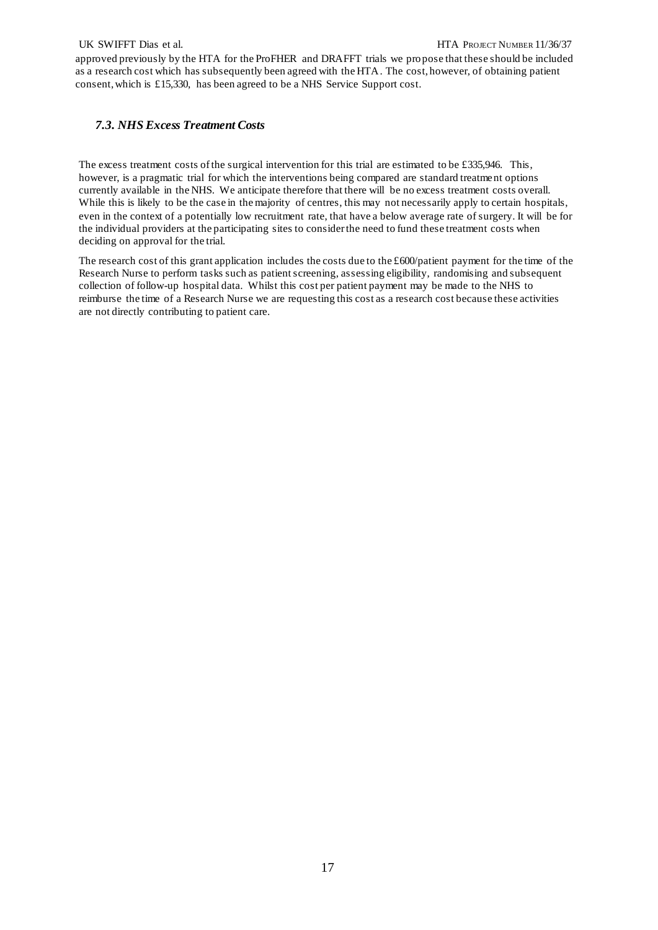approved previously by the HTA for the ProFHER and DRAFFT trials we pro pose that these should be included as a research cost which has subsequently been agreed with the HTA. The cost, however, of obtaining patient consent, which is £15,330, has been agreed to be a NHS Service Support cost.

# *7.3. NHS Excess Treatment Costs*

The excess treatment costs of the surgical intervention for this trial are estimated to be £335,946. This, however, is a pragmatic trial for which the interventions being compared are standard treatment options currently available in the NHS. We anticipate therefore that there will be no excess treatment costs overall. While this is likely to be the case in the majority of centres, this may not necessarily apply to certain hospitals, even in the context of a potentially low recruitment rate, that have a below average rate of surgery. It will be for the individual providers at the participating sites to consider the need to fund these treatment costs when deciding on approval for the trial.

The research cost of this grant application includes the costs due to the  $\text{\textsterling}600/\text{patient}}$  payment for the time of the Research Nurse to perform tasks such as patient screening, assessing eligibility, randomising and subsequent collection of follow-up hospital data. Whilst this cost per patient payment may be made to the NHS to reimburse the time of a Research Nurse we are requesting this cost as a research cost because these activities are not directly contributing to patient care.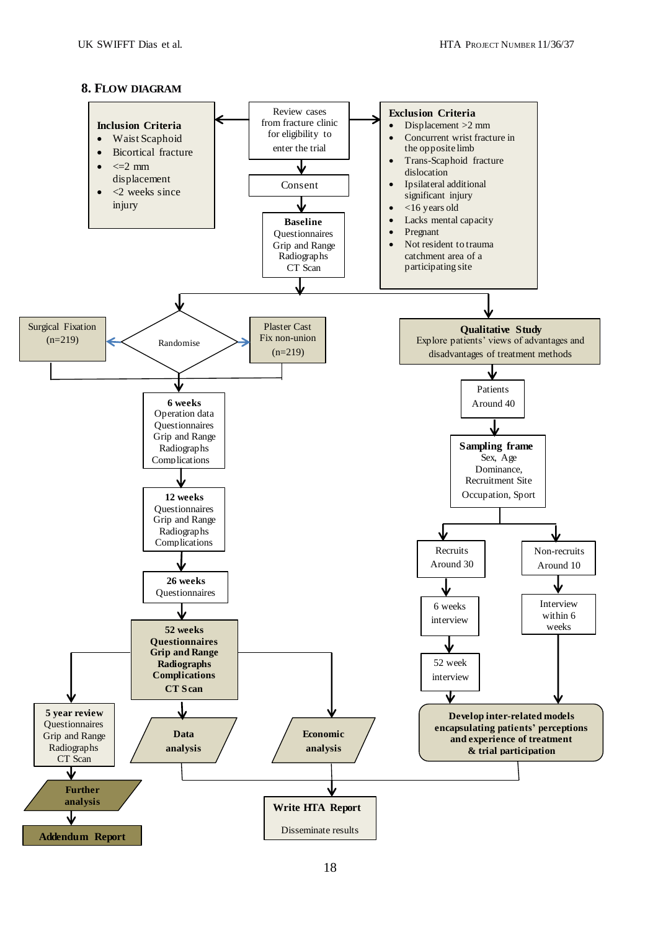# **8. FLOW DIAGRAM**

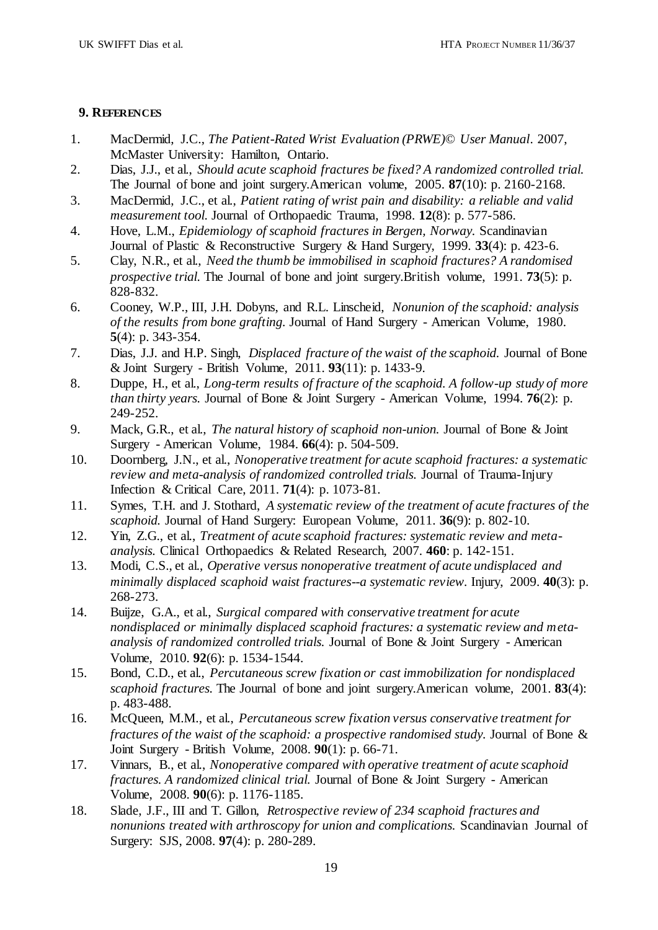# **9. REFERENCES**

- <span id="page-18-0"></span>1. MacDermid, J.C., *The Patient-Rated Wrist Evaluation (PRWE)© User Manual*. 2007, McMaster University: Hamilton, Ontario.
- <span id="page-18-1"></span>2. Dias, J.J., et al., *Should acute scaphoid fractures be fixed? A randomized controlled trial.* The Journal of bone and joint surgery.American volume, 2005. **87**(10): p. 2160-2168.
- <span id="page-18-2"></span>3. MacDermid, J.C., et al., *Patient rating of wrist pain and disability: a reliable and valid measurement tool.* Journal of Orthopaedic Trauma, 1998. **12**(8): p. 577-586.
- <span id="page-18-3"></span>4. Hove, L.M., *Epidemiology of scaphoid fractures in Bergen, Norway.* Scandinavian Journal of Plastic & Reconstructive Surgery & Hand Surgery, 1999. **33**(4): p. 423-6.
- <span id="page-18-4"></span>5. Clay, N.R., et al., *Need the thumb be immobilised in scaphoid fractures? A randomised prospective trial.* The Journal of bone and joint surgery.British volume, 1991. **73**(5): p. 828-832.
- 6. Cooney, W.P., III, J.H. Dobyns, and R.L. Linscheid, *Nonunion of the scaphoid: analysis of the results from bone grafting.* Journal of Hand Surgery - American Volume, 1980. **5**(4): p. 343-354.
- <span id="page-18-13"></span>7. Dias, J.J. and H.P. Singh, *Displaced fracture of the waist of the scaphoid.* Journal of Bone & Joint Surgery - British Volume, 2011. **93**(11): p. 1433-9.
- <span id="page-18-5"></span>8. Duppe, H., et al., *Long-term results of fracture of the scaphoid. A follow-up study of more than thirty years.* Journal of Bone & Joint Surgery - American Volume, 1994. **76**(2): p. 249-252.
- <span id="page-18-6"></span>9. Mack, G.R., et al., *The natural history of scaphoid non-union.* Journal of Bone & Joint Surgery - American Volume, 1984. **66**(4): p. 504-509.
- <span id="page-18-7"></span>10. Doornberg, J.N., et al., *Nonoperative treatment for acute scaphoid fractures: a systematic review and meta-analysis of randomized controlled trials.* Journal of Trauma-Injury Infection & Critical Care, 2011. **71**(4): p. 1073-81.
- 11. Symes, T.H. and J. Stothard, *A systematic review of the treatment of acute fractures of the scaphoid.* Journal of Hand Surgery: European Volume, 2011. **36**(9): p. 802-10.
- 12. Yin, Z.G., et al., *Treatment of acute scaphoid fractures: systematic review and metaanalysis.* Clinical Orthopaedics & Related Research, 2007. **460**: p. 142-151.
- 13. Modi, C.S., et al., *Operative versus nonoperative treatment of acute undisplaced and minimally displaced scaphoid waist fractures--a systematic review.* Injury, 2009. **40**(3): p. 268-273.
- <span id="page-18-8"></span>14. Buijze, G.A., et al., *Surgical compared with conservative treatment for acute nondisplaced or minimally displaced scaphoid fractures: a systematic review and metaanalysis of randomized controlled trials.* Journal of Bone & Joint Surgery - American Volume, 2010. **92**(6): p. 1534-1544.
- <span id="page-18-9"></span>15. Bond, C.D., et al., *Percutaneous screw fixation or cast immobilization for nondisplaced scaphoid fractures.* The Journal of bone and joint surgery.American volume, 2001. **83**(4): p. 483-488.
- <span id="page-18-10"></span>16. McQueen, M.M., et al., *Percutaneous screw fixation versus conservative treatment for fractures of the waist of the scaphoid: a prospective randomised study.* Journal of Bone & Joint Surgery - British Volume, 2008. **90**(1): p. 66-71.
- <span id="page-18-11"></span>17. Vinnars, B., et al., *Nonoperative compared with operative treatment of acute scaphoid fractures. A randomized clinical trial.* Journal of Bone & Joint Surgery - American Volume, 2008. **90**(6): p. 1176-1185.
- <span id="page-18-12"></span>18. Slade, J.F., III and T. Gillon, *Retrospective review of 234 scaphoid fractures and nonunions treated with arthroscopy for union and complications.* Scandinavian Journal of Surgery: SJS, 2008. **97**(4): p. 280-289.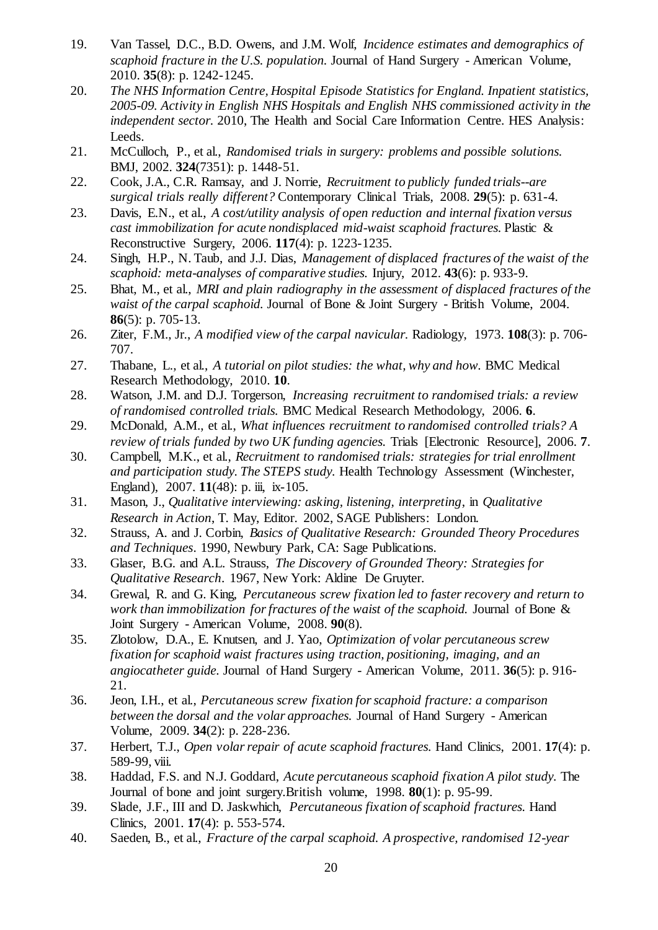- <span id="page-19-0"></span>19. Van Tassel, D.C., B.D. Owens, and J.M. Wolf, *Incidence estimates and demographics of scaphoid fracture in the U.S. population.* Journal of Hand Surgery - American Volume, 2010. **35**(8): p. 1242-1245.
- <span id="page-19-1"></span>20. *The NHS Information Centre, Hospital Episode Statistics for England. Inpatient statistics, 2005-09. Activity in English NHS Hospitals and English NHS commissioned activity in the independent sector.* 2010, The Health and Social Care Information Centre. HES Analysis: Leeds.
- <span id="page-19-2"></span>21. McCulloch, P., et al., *Randomised trials in surgery: problems and possible solutions.* BMJ, 2002. **324**(7351): p. 1448-51.
- <span id="page-19-3"></span>22. Cook, J.A., C.R. Ramsay, and J. Norrie, *Recruitment to publicly funded trials--are surgical trials really different?* Contemporary Clinical Trials, 2008. **29**(5): p. 631-4.
- <span id="page-19-4"></span>23. Davis, E.N., et al., *A cost/utility analysis of open reduction and internal fixation versus cast immobilization for acute nondisplaced mid-waist scaphoid fractures.* Plastic & Reconstructive Surgery, 2006. **117**(4): p. 1223-1235.
- <span id="page-19-5"></span>24. Singh, H.P., N. Taub, and J.J. Dias, *Management of displaced fractures of the waist of the scaphoid: meta-analyses of comparative studies.* Injury, 2012. **43**(6): p. 933-9.
- <span id="page-19-6"></span>25. Bhat, M., et al., *MRI and plain radiography in the assessment of displaced fractures of the waist of the carpal scaphoid.* Journal of Bone & Joint Surgery - British Volume, 2004. **86**(5): p. 705-13.
- <span id="page-19-7"></span>26. Ziter, F.M., Jr., *A modified view of the carpal navicular.* Radiology, 1973. **108**(3): p. 706- 707.
- <span id="page-19-8"></span>27. Thabane, L., et al., *A tutorial on pilot studies: the what, why and how.* BMC Medical Research Methodology, 2010. **10**.
- <span id="page-19-9"></span>28. Watson, J.M. and D.J. Torgerson, *Increasing recruitment to randomised trials: a review of randomised controlled trials.* BMC Medical Research Methodology, 2006. **6**.
- 29. McDonald, A.M., et al., *What influences recruitment to randomised controlled trials? A review of trials funded by two UK funding agencies.* Trials [Electronic Resource], 2006. **7**.
- 30. Campbell, M.K., et al., *Recruitment to randomised trials: strategies for trial enrollment and participation study. The STEPS study.* Health Technology Assessment (Winchester, England), 2007. **11**(48): p. iii, ix-105.
- <span id="page-19-10"></span>31. Mason, J., *Qualitative interviewing: asking, listening, interpreting*, in *Qualitative Research in Action*, T. May, Editor. 2002, SAGE Publishers: London.
- <span id="page-19-11"></span>32. Strauss, A. and J. Corbin, *Basics of Qualitative Research: Grounded Theory Procedures and Techniques*. 1990, Newbury Park, CA: Sage Publications.
- <span id="page-19-12"></span>33. Glaser, B.G. and A.L. Strauss, *The Discovery of Grounded Theory: Strategies for Qualitative Research*. 1967, New York: Aldine De Gruyter.
- <span id="page-19-13"></span>34. Grewal, R. and G. King, *Percutaneous screw fixation led to faster recovery and return to work than immobilization for fractures of the waist of the scaphoid.* Journal of Bone & Joint Surgery - American Volume, 2008. **90**(8).
- <span id="page-19-14"></span>35. Zlotolow, D.A., E. Knutsen, and J. Yao, *Optimization of volar percutaneous screw fixation for scaphoid waist fractures using traction, positioning, imaging, and an angiocatheter guide.* Journal of Hand Surgery - American Volume, 2011. **36**(5): p. 916- 21.
- <span id="page-19-15"></span>36. Jeon, I.H., et al., *Percutaneous screw fixation for scaphoid fracture: a comparison between the dorsal and the volar approaches.* Journal of Hand Surgery - American Volume, 2009. **34**(2): p. 228-236.
- <span id="page-19-16"></span>37. Herbert, T.J., *Open volar repair of acute scaphoid fractures.* Hand Clinics, 2001. **17**(4): p. 589-99, viii.
- 38. Haddad, F.S. and N.J. Goddard, *Acute percutaneous scaphoid fixation A pilot study.* The Journal of bone and joint surgery.British volume, 1998. **80**(1): p. 95-99.
- 39. Slade, J.F., III and D. Jaskwhich, *Percutaneous fixation of scaphoid fractures.* Hand Clinics, 2001. **17**(4): p. 553-574.
- <span id="page-19-17"></span>40. Saeden, B., et al., *Fracture of the carpal scaphoid. A prospective, randomised 12-year*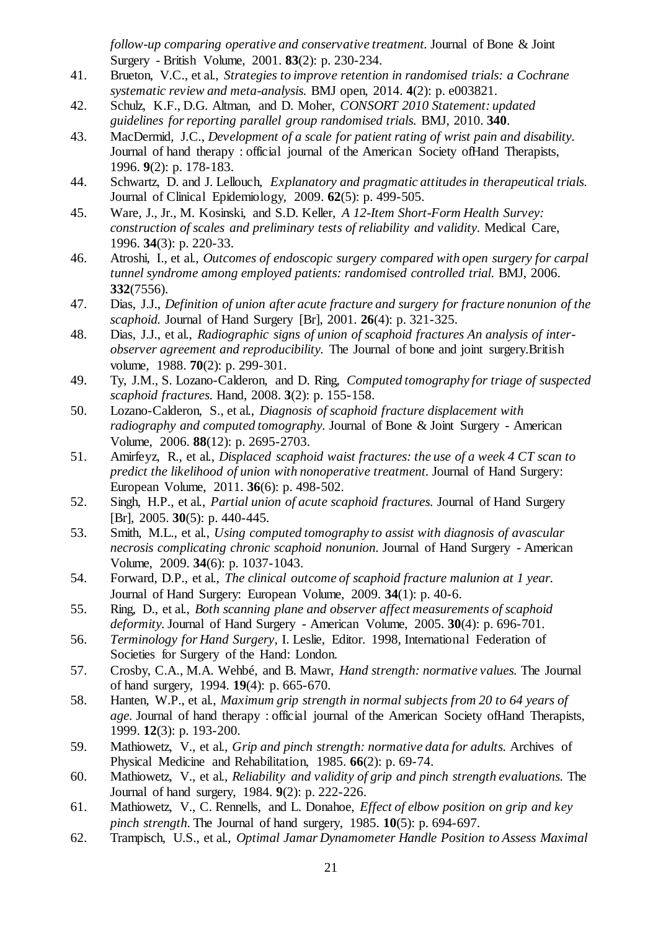*follow-up comparing operative and conservative treatment.* Journal of Bone & Joint Surgery - British Volume, 2001. **83**(2): p. 230-234.

- <span id="page-20-0"></span>41. Brueton, V.C., et al., *Strategies to improve retention in randomised trials: a Cochrane systematic review and meta-analysis.* BMJ open, 2014. **4**(2): p. e003821.
- <span id="page-20-1"></span>42. Schulz, K.F., D.G. Altman, and D. Moher, *CONSORT 2010 Statement: updated guidelines for reporting parallel group randomised trials.* BMJ, 2010. **340**.
- <span id="page-20-2"></span>43. MacDermid, J.C., *Development of a scale for patient rating of wrist pain and disability.* Journal of hand therapy : official journal of the American Society ofHand Therapists, 1996. **9**(2): p. 178-183.
- <span id="page-20-3"></span>44. Schwartz, D. and J. Lellouch, *Explanatory and pragmatic attitudes in therapeutical trials.* Journal of Clinical Epidemiology, 2009. **62**(5): p. 499-505.
- <span id="page-20-4"></span>45. Ware, J., Jr., M. Kosinski, and S.D. Keller, *A 12-Item Short-Form Health Survey: construction of scales and preliminary tests of reliability and validity.* Medical Care, 1996. **34**(3): p. 220-33.
- <span id="page-20-5"></span>46. Atroshi, I., et al., *Outcomes of endoscopic surgery compared with open surgery for carpal tunnel syndrome among employed patients: randomised controlled trial.* BMJ, 2006. **332**(7556).
- <span id="page-20-6"></span>47. Dias, J.J., *Definition of union after acute fracture and surgery for fracture nonunion of the scaphoid.* Journal of Hand Surgery [Br], 2001. **26**(4): p. 321-325.
- <span id="page-20-7"></span>48. Dias, J.J., et al., *Radiographic signs of union of scaphoid fractures An analysis of interobserver agreement and reproducibility.* The Journal of bone and joint surgery.British volume, 1988. **70**(2): p. 299-301.
- <span id="page-20-8"></span>49. Ty, J.M., S. Lozano-Calderon, and D. Ring, *Computed tomography for triage of suspected scaphoid fractures.* Hand, 2008. **3**(2): p. 155-158.
- <span id="page-20-9"></span>50. Lozano-Calderon, S., et al., *Diagnosis of scaphoid fracture displacement with radiography and computed tomography.* Journal of Bone & Joint Surgery - American Volume, 2006. **88**(12): p. 2695-2703.
- <span id="page-20-10"></span>51. Amirfeyz, R., et al., *Displaced scaphoid waist fractures: the use of a week 4 CT scan to predict the likelihood of union with nonoperative treatment.* Journal of Hand Surgery: European Volume, 2011. **36**(6): p. 498-502.
- 52. Singh, H.P., et al., *Partial union of acute scaphoid fractures.* Journal of Hand Surgery [Br], 2005. **30**(5): p. 440-445.
- 53. Smith, M.L., et al., *Using computed tomography to assist with diagnosis of avascular necrosis complicating chronic scaphoid nonunion.* Journal of Hand Surgery - American Volume, 2009. **34**(6): p. 1037-1043.
- <span id="page-20-11"></span>54. Forward, D.P., et al., *The clinical outcome of scaphoid fracture malunion at 1 year.* Journal of Hand Surgery: European Volume, 2009. **34**(1): p. 40-6.
- <span id="page-20-12"></span>55. Ring, D., et al., *Both scanning plane and observer affect measurements of scaphoid deformity.* Journal of Hand Surgery - American Volume, 2005. **30**(4): p. 696-701.
- <span id="page-20-13"></span>56. *Terminology for Hand Surgery*, I. Leslie, Editor. 1998, International Federation of Societies for Surgery of the Hand: London.
- <span id="page-20-14"></span>57. Crosby, C.A., M.A. Wehbé, and B. Mawr, *Hand strength: normative values.* The Journal of hand surgery, 1994. **19**(4): p. 665-670.
- 58. Hanten, W.P., et al., *Maximum grip strength in normal subjects from 20 to 64 years of age.* Journal of hand therapy : official journal of the American Society ofHand Therapists, 1999. **12**(3): p. 193-200.
- 59. Mathiowetz, V., et al., *Grip and pinch strength: normative data for adults.* Archives of Physical Medicine and Rehabilitation, 1985. **66**(2): p. 69-74.
- 60. Mathiowetz, V., et al., *Reliability and validity of grip and pinch strength evaluations.* The Journal of hand surgery, 1984. **9**(2): p. 222-226.
- <span id="page-20-15"></span>61. Mathiowetz, V., C. Rennells, and L. Donahoe, *Effect of elbow position on grip and key pinch strength.* The Journal of hand surgery, 1985. **10**(5): p. 694-697.
- <span id="page-20-16"></span>62. Trampisch, U.S., et al., *Optimal Jamar Dynamometer Handle Position to Assess Maximal*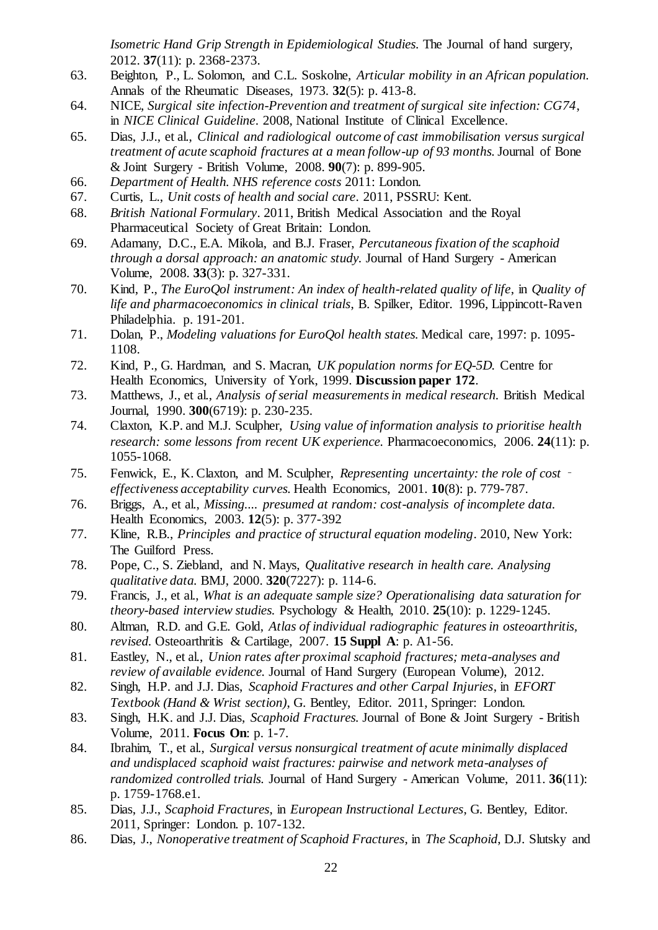*Isometric Hand Grip Strength in Epidemiological Studies.* The Journal of hand surgery, 2012. **37**(11): p. 2368-2373.

- <span id="page-21-0"></span>63. Beighton, P., L. Solomon, and C.L. Soskolne, *Articular mobility in an African population.* Annals of the Rheumatic Diseases, 1973. **32**(5): p. 413-8.
- <span id="page-21-1"></span>64. NICE, *Surgical site infection-Prevention and treatment of surgical site infection: CG74*, in *NICE Clinical Guideline*. 2008, National Institute of Clinical Excellence.
- <span id="page-21-2"></span>65. Dias, J.J., et al., *Clinical and radiological outcome of cast immobilisation versus surgical treatment of acute scaphoid fractures at a mean follow-up of 93 months.* Journal of Bone & Joint Surgery - British Volume, 2008. **90**(7): p. 899-905.
- <span id="page-21-3"></span>66. *Department of Health. NHS reference costs* 2011: London.
- <span id="page-21-4"></span>67. Curtis, L., *Unit costs of health and social care*. 2011, PSSRU: Kent.
- <span id="page-21-5"></span>68. *British National Formulary*. 2011, British Medical Association and the Royal Pharmaceutical Society of Great Britain: London.
- <span id="page-21-6"></span>69. Adamany, D.C., E.A. Mikola, and B.J. Fraser, *Percutaneous fixation of the scaphoid through a dorsal approach: an anatomic study.* Journal of Hand Surgery - American Volume, 2008. **33**(3): p. 327-331.
- <span id="page-21-7"></span>70. Kind, P., *The EuroQol instrument: An index of health-related quality of life*, in *Quality of life and pharmacoeconomics in clinical trials*, B. Spilker, Editor. 1996, Lippincott-Raven Philadelphia. p. 191-201.
- <span id="page-21-8"></span>71. Dolan, P., *Modeling valuations for EuroQol health states.* Medical care, 1997: p. 1095- 1108.
- <span id="page-21-9"></span>72. Kind, P., G. Hardman, and S. Macran, *UK population norms for EQ-5D.* Centre for Health Economics, University of York, 1999. **Discussion paper 172**.
- <span id="page-21-10"></span>73. Matthews, J., et al., *Analysis of serial measurements in medical research.* British Medical Journal, 1990. **300**(6719): p. 230-235.
- <span id="page-21-11"></span>74. Claxton, K.P. and M.J. Sculpher, *Using value of information analysis to prioritise health research: some lessons from recent UK experience.* Pharmacoeconomics, 2006. **24**(11): p. 1055-1068.
- <span id="page-21-12"></span>75. Fenwick, E., K. Claxton, and M. Sculpher, *Representing uncertainty: the role of cost effectiveness acceptability curves.* Health Economics, 2001. **10**(8): p. 779-787.
- <span id="page-21-13"></span>76. Briggs, A., et al., *Missing.... presumed at random: cost-analysis of incomplete data.* Health Economics, 2003. **12**(5): p. 377-392
- <span id="page-21-14"></span>77. Kline, R.B., *Principles and practice of structural equation modeling*. 2010, New York: The Guilford Press.
- <span id="page-21-15"></span>78. Pope, C., S. Ziebland, and N. Mays, *Qualitative research in health care. Analysing qualitative data.* BMJ, 2000. **320**(7227): p. 114-6.
- <span id="page-21-16"></span>79. Francis, J., et al., *What is an adequate sample size? Operationalising data saturation for theory-based interview studies.* Psychology & Health, 2010. **25**(10): p. 1229-1245.
- <span id="page-21-17"></span>80. Altman, R.D. and G.E. Gold, *Atlas of individual radiographic features in osteoarthritis, revised.* Osteoarthritis & Cartilage, 2007. **15 Suppl A**: p. A1-56.
- <span id="page-21-18"></span>81. Eastley, N., et al., *Union rates after proximal scaphoid fractures; meta-analyses and review of available evidence.* Journal of Hand Surgery (European Volume), 2012.
- 82. Singh, H.P. and J.J. Dias, *Scaphoid Fractures and other Carpal Injuries*, in *EFORT Textbook (Hand & Wrist section)*, G. Bentley, Editor. 2011, Springer: London.
- 83. Singh, H.K. and J.J. Dias, *Scaphoid Fractures.* Journal of Bone & Joint Surgery British Volume, 2011. **Focus On**: p. 1-7.
- 84. Ibrahim, T., et al., *Surgical versus nonsurgical treatment of acute minimally displaced and undisplaced scaphoid waist fractures: pairwise and network meta-analyses of randomized controlled trials.* Journal of Hand Surgery - American Volume, 2011. **36**(11): p. 1759-1768.e1.
- 85. Dias, J.J., *Scaphoid Fractures*, in *European Instructional Lectures*, G. Bentley, Editor. 2011, Springer: London. p. 107-132.
- 86. Dias, J., *Nonoperative treatment of Scaphoid Fractures*, in *The Scaphoid*, D.J. Slutsky and